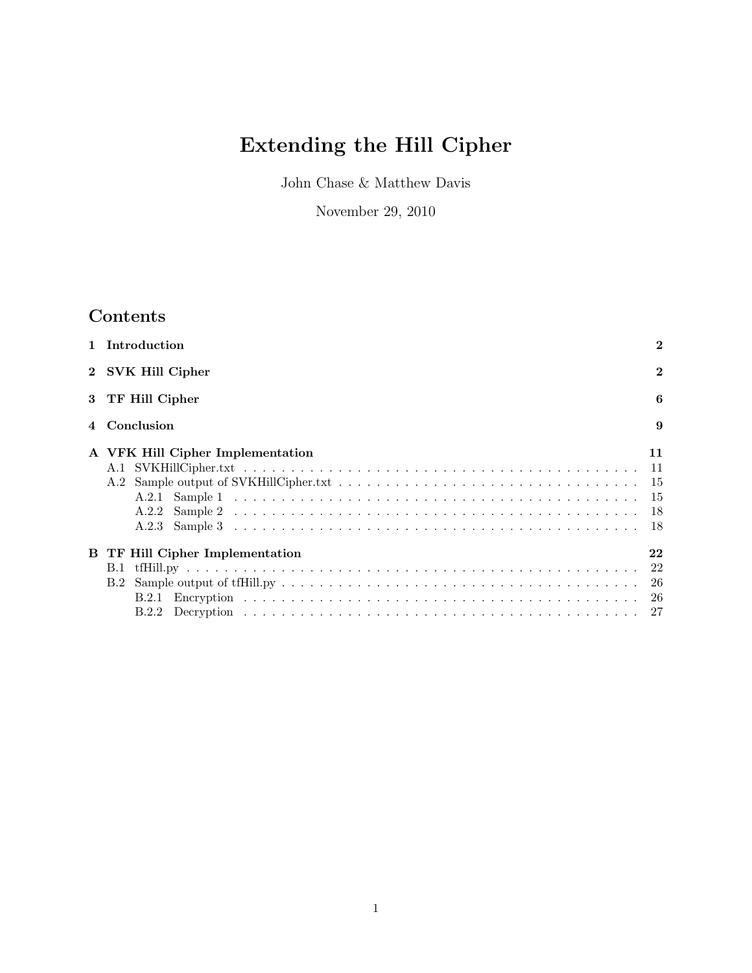# Extending the Hill Cipher

John Chase & Matthew Davis

November 29, 2010

## Contents

| $\mathbf{1}$ | Introduction                                     | $\bf{2}$     |
|--------------|--------------------------------------------------|--------------|
|              | 2 SVK Hill Cipher                                | $\mathbf{2}$ |
| 3            | TF Hill Cipher                                   | 6            |
|              | 4 Conclusion                                     | 9            |
|              | A VFK Hill Cipher Implementation<br>A.2<br>A.2.1 | 11           |
| в            | TF Hill Cipher Implementation<br>B.1<br>B.2      | 22           |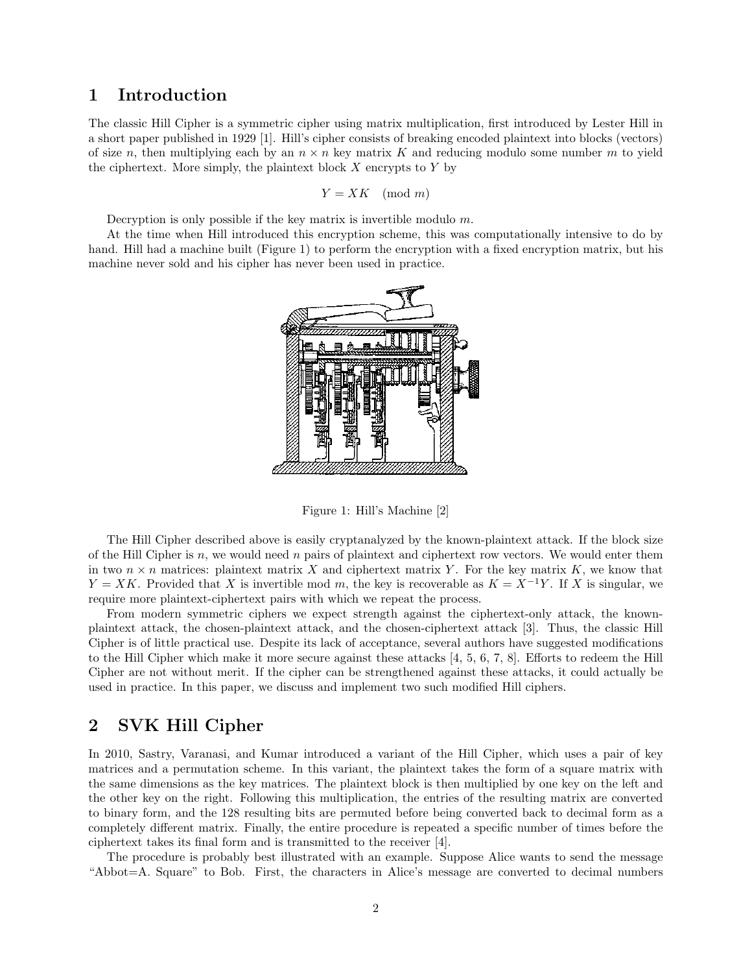## 1 Introduction

The classic Hill Cipher is a symmetric cipher using matrix multiplication, first introduced by Lester Hill in a short paper published in 1929 [1]. Hill's cipher consists of breaking encoded plaintext into blocks (vectors) of size n, then multiplying each by an  $n \times n$  key matrix K and reducing modulo some number m to yield the ciphertext. More simply, the plaintext block  $X$  encrypts to  $Y$  by

$$
Y = XK \pmod{m}
$$

Decryption is only possible if the key matrix is invertible modulo m.

At the time when Hill introduced this encryption scheme, this was computationally intensive to do by hand. Hill had a machine built (Figure 1) to perform the encryption with a fixed encryption matrix, but his machine never sold and his cipher has never been used in practice.



Figure 1: Hill's Machine [2]

The Hill Cipher described above is easily cryptanalyzed by the known-plaintext attack. If the block size of the Hill Cipher is  $n$ , we would need  $n$  pairs of plaintext and ciphertext row vectors. We would enter them in two  $n \times n$  matrices: plaintext matrix X and ciphertext matrix Y. For the key matrix K, we know that  $Y = XK$ . Provided that X is invertible mod m, the key is recoverable as  $K = X^{-1}Y$ . If X is singular, we require more plaintext-ciphertext pairs with which we repeat the process.

From modern symmetric ciphers we expect strength against the ciphertext-only attack, the knownplaintext attack, the chosen-plaintext attack, and the chosen-ciphertext attack [3]. Thus, the classic Hill Cipher is of little practical use. Despite its lack of acceptance, several authors have suggested modifications to the Hill Cipher which make it more secure against these attacks [4, 5, 6, 7, 8]. Efforts to redeem the Hill Cipher are not without merit. If the cipher can be strengthened against these attacks, it could actually be used in practice. In this paper, we discuss and implement two such modified Hill ciphers.

## 2 SVK Hill Cipher

In 2010, Sastry, Varanasi, and Kumar introduced a variant of the Hill Cipher, which uses a pair of key matrices and a permutation scheme. In this variant, the plaintext takes the form of a square matrix with the same dimensions as the key matrices. The plaintext block is then multiplied by one key on the left and the other key on the right. Following this multiplication, the entries of the resulting matrix are converted to binary form, and the 128 resulting bits are permuted before being converted back to decimal form as a completely different matrix. Finally, the entire procedure is repeated a specific number of times before the ciphertext takes its final form and is transmitted to the receiver [4].

The procedure is probably best illustrated with an example. Suppose Alice wants to send the message "Abbot=A. Square" to Bob. First, the characters in Alice's message are converted to decimal numbers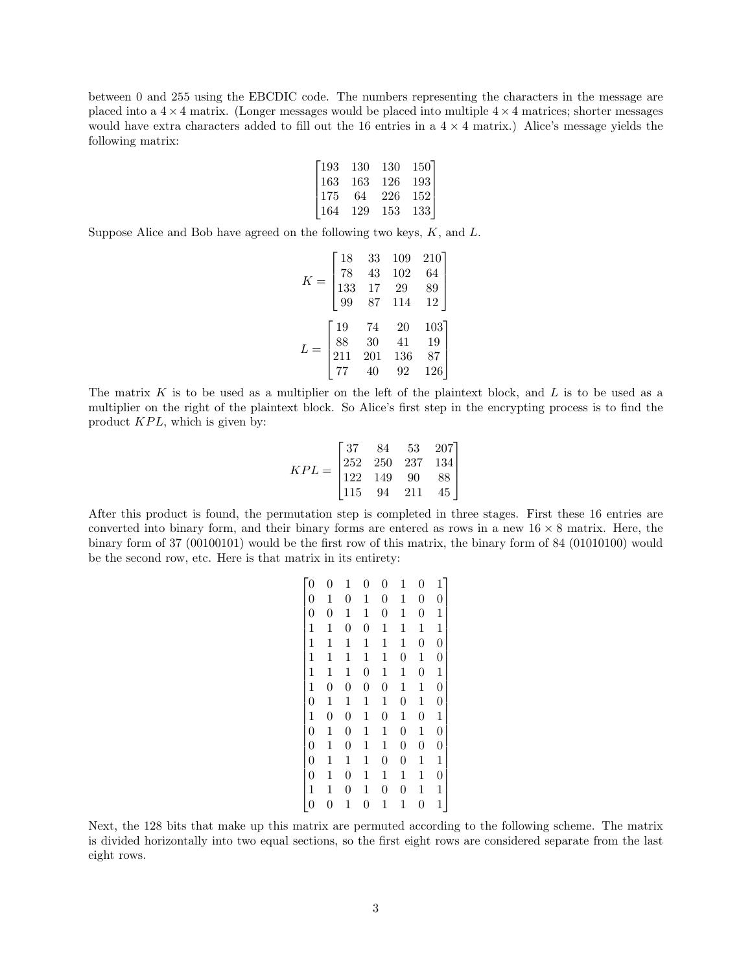between 0 and 255 using the EBCDIC code. The numbers representing the characters in the message are placed into a  $4 \times 4$  matrix. (Longer messages would be placed into multiple  $4 \times 4$  matrices; shorter messages would have extra characters added to fill out the 16 entries in a  $4 \times 4$  matrix.) Alice's message yields the following matrix:

| 193   | 130 | 130 | 150] |
|-------|-----|-----|------|
| 163   | 163 | 126 | 193  |
| l 175 | 64  | 226 | 152  |
| -164  | 129 | 153 | 133  |

Suppose Alice and Bob have agreed on the following two keys,  $K$ , and  $L$ .

$$
K = \begin{bmatrix} 18 & 33 & 109 & 210 \\ 78 & 43 & 102 & 64 \\ 133 & 17 & 29 & 89 \\ 99 & 87 & 114 & 12 \end{bmatrix}
$$

$$
L = \begin{bmatrix} 19 & 74 & 20 & 103 \\ 88 & 30 & 41 & 19 \\ 211 & 201 & 136 & 87 \\ 77 & 40 & 92 & 126 \end{bmatrix}
$$

The matrix  $K$  is to be used as a multiplier on the left of the plaintext block, and  $L$  is to be used as a multiplier on the right of the plaintext block. So Alice's first step in the encrypting process is to find the product  $KPL$ , which is given by:

$$
KPL = \begin{bmatrix} 37 & 84 & 53 & 207 \\ 252 & 250 & 237 & 134 \\ 122 & 149 & 90 & 88 \\ 115 & 94 & 211 & 45 \end{bmatrix}
$$

After this product is found, the permutation step is completed in three stages. First these 16 entries are converted into binary form, and their binary forms are entered as rows in a new  $16 \times 8$  matrix. Here, the binary form of 37 (00100101) would be the first row of this matrix, the binary form of 84 (01010100) would be the second row, etc. Here is that matrix in its entirety:

| $\overline{0}$   | $\overline{0}$ | 1                | 0              | $\overline{0}$   | 1                | 0                | $\mathbf{1}$     |
|------------------|----------------|------------------|----------------|------------------|------------------|------------------|------------------|
| $\boldsymbol{0}$ | $\mathbf 1$    | $\boldsymbol{0}$ | 1              | $\boldsymbol{0}$ | 1                | $\overline{0}$   | $\overline{0}$   |
| $\boldsymbol{0}$ | $\overline{0}$ | $\mathbf 1$      | $\mathbf 1$    | $\boldsymbol{0}$ | $\mathbf 1$      | $\overline{0}$   | $\mathbf{1}$     |
| $\mathbf{1}$     | $\mathbf 1$    | $\overline{0}$   | $\overline{0}$ | $\mathbf 1$      | $\mathbf 1$      | $\mathbf 1$      | $\mathbf{1}$     |
| $\mathbf{1}$     | $\mathbf{1}$   | $\mathbf 1$      | 1              | 1                | 1                | $\overline{0}$   | $\overline{0}$   |
| $\mathbf{1}$     | $\mathbf{1}$   | 1                | $\mathbf 1$    | $\mathbf{1}$     | $\overline{0}$   | $\mathbf{1}$     | $\boldsymbol{0}$ |
| $\mathbf{1}$     | $\mathbf 1$    | 1                | $\overline{0}$ | 1                | $\mathbf 1$      | $\overline{0}$   | $\mathbf{1}$     |
| $\mathbf{1}$     | $\overline{0}$ | $\overline{0}$   | $\overline{0}$ | $\overline{0}$   | $\mathbf 1$      | $\mathbf 1$      | $\overline{0}$   |
| $\overline{0}$   | $\mathbf 1$    | $\mathbf 1$      | $\mathbf 1$    | $\mathbf 1$      | $\overline{0}$   | $\mathbf{1}$     | $\boldsymbol{0}$ |
| $\mathbf{1}$     | $\overline{0}$ | $\overline{0}$   | $\mathbf 1$    | $\boldsymbol{0}$ | $\mathbf 1$      | $\overline{0}$   | $\mathbf{1}$     |
| $\overline{0}$   | $\mathbf{1}$   | $\overline{0}$   | $\mathbf 1$    | $\mathbf{1}$     | $\overline{0}$   | $\mathbf{1}$     | $\overline{0}$   |
| $\overline{0}$   | $\mathbf{1}$   | $\overline{0}$   | 1              | $\mathbf{1}$     | $\overline{0}$   | $\overline{0}$   | $\boldsymbol{0}$ |
| $\overline{0}$   | $\mathbf 1$    | 1                | 1              | $\boldsymbol{0}$ | $\boldsymbol{0}$ | $\mathbf 1$      | $\mathbf{1}$     |
| $\overline{0}$   | $\mathbf{1}$   | $\overline{0}$   | $\mathbf 1$    | $\mathbf{1}$     | $\mathbf{1}$     | $\mathbf 1$      | $\overline{0}$   |
| $\mathbf{1}$     | $\mathbf 1$    | $\rm 0$          | 1              | $\boldsymbol{0}$ | $\boldsymbol{0}$ | $\mathbf 1$      | $\mathbf{1}$     |
| $\overline{0}$   | 0              | 1                | $\rm 0$        | 1                | 1                | $\boldsymbol{0}$ | $\mathbf{1}$     |
|                  |                |                  |                |                  |                  |                  |                  |

Next, the 128 bits that make up this matrix are permuted according to the following scheme. The matrix is divided horizontally into two equal sections, so the first eight rows are considered separate from the last eight rows.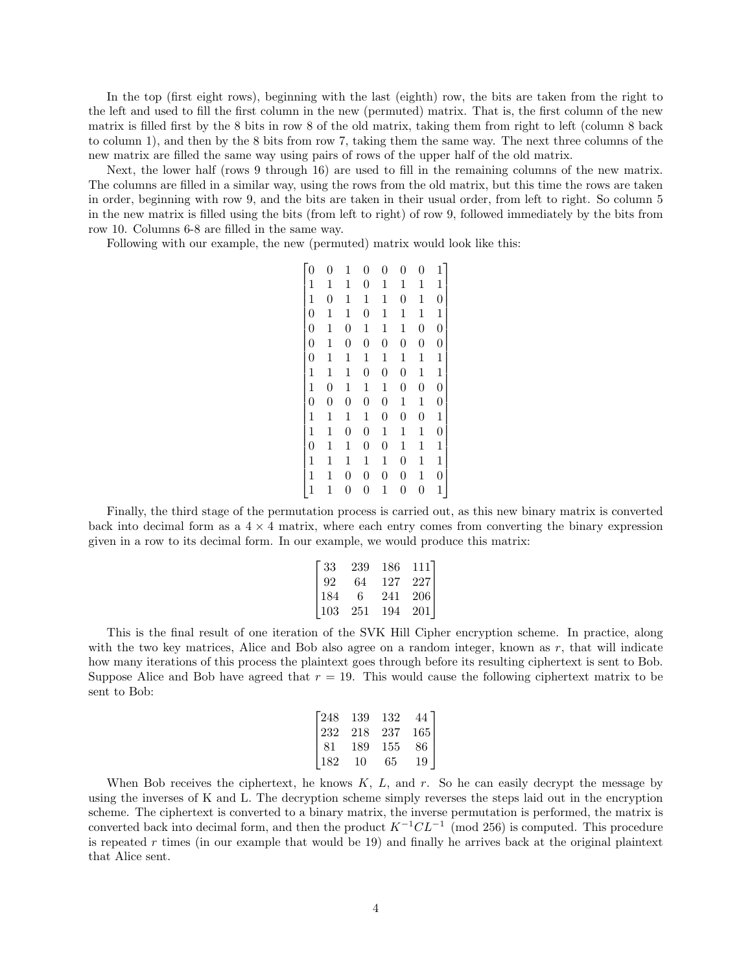In the top (first eight rows), beginning with the last (eighth) row, the bits are taken from the right to the left and used to fill the first column in the new (permuted) matrix. That is, the first column of the new matrix is filled first by the 8 bits in row 8 of the old matrix, taking them from right to left (column 8 back to column 1), and then by the 8 bits from row 7, taking them the same way. The next three columns of the new matrix are filled the same way using pairs of rows of the upper half of the old matrix.

Next, the lower half (rows 9 through 16) are used to fill in the remaining columns of the new matrix. The columns are filled in a similar way, using the rows from the old matrix, but this time the rows are taken in order, beginning with row 9, and the bits are taken in their usual order, from left to right. So column 5 in the new matrix is filled using the bits (from left to right) of row 9, followed immediately by the bits from row 10. Columns 6-8 are filled in the same way.

Following with our example, the new (permuted) matrix would look like this:

| $\Omega$         | $\boldsymbol{0}$ | 1                | $\boldsymbol{0}$ | $\boldsymbol{0}$ | $\boldsymbol{0}$ | $\boldsymbol{0}$ | $1^{-}$          |
|------------------|------------------|------------------|------------------|------------------|------------------|------------------|------------------|
| $\mathbf{1}$     | $\mathbf 1$      | $\mathbf 1$      | $\boldsymbol{0}$ | $\mathbf{1}$     | $\mathbf 1$      | $\mathbf 1$      | $\mathbf{1}$     |
| $\mathbf{1}$     | $\overline{0}$   | $\mathbf{1}$     | $\mathbf 1$      | $\mathbf 1$      | $\boldsymbol{0}$ | $\mathbf{1}$     | $\boldsymbol{0}$ |
| $\overline{0}$   | $\mathbf 1$      | $\mathbf{1}$     | $\overline{0}$   | $\mathbf{1}$     | $\mathbf 1$      | $\mathbf{1}$     | $\mathbf{1}$     |
| $\boldsymbol{0}$ | $\mathbf 1$      | $\overline{0}$   | 1                | 1                | $\mathbf 1$      | $\overline{0}$   | $\boldsymbol{0}$ |
| $\overline{0}$   | $\mathbf{1}$     | $\overline{0}$   | $\overline{0}$   | $\overline{0}$   | $\overline{0}$   | $\boldsymbol{0}$ | $\boldsymbol{0}$ |
| $\boldsymbol{0}$ | $\mathbf{1}$     | $\mathbf 1$      | $\mathbf 1$      | $\mathbf 1$      | $\mathbf 1$      | $\mathbf{1}$     | $\mathbf{1}$     |
| $\mathbf{1}$     | $\mathbf 1$      | $\mathbf 1$      | $\boldsymbol{0}$ | $\boldsymbol{0}$ | $\boldsymbol{0}$ | $\mathbf 1$      | $\mathbf{1}$     |
| $\overline{1}$   | $\boldsymbol{0}$ | $\mathbf{1}$     | $\mathbf 1$      | $\mathbf 1$      | $\boldsymbol{0}$ | $\overline{0}$   | $\overline{0}$   |
| $\overline{0}$   | $\boldsymbol{0}$ | $\overline{0}$   | $\overline{0}$   | $\boldsymbol{0}$ | $\mathbf{1}$     | $\mathbf{1}$     | $\overline{0}$   |
| $\mathbf{1}$     | $\mathbf 1$      | $\mathbf 1$      | $\mathbf 1$      | $\overline{0}$   | $\boldsymbol{0}$ | $\overline{0}$   | $\mathbf{1}$     |
| $\overline{1}$   | $\mathbf{1}$     | $\overline{0}$   | $\overline{0}$   | $\mathbf{1}$     | $\mathbf 1$      | $\mathbf 1$      | $\overline{0}$   |
| $\overline{0}$   | $\mathbf{1}$     | $\mathbf 1$      | $\overline{0}$   | $\overline{0}$   | $\mathbf 1$      | $\mathbf{1}$     | $\mathbf{1}$     |
| $\mathbf{1}$     | $\mathbf 1$      | 1                | 1                | 1                | $\boldsymbol{0}$ | $\mathbf 1$      | $\mathbf{1}$     |
| $\overline{1}$   | $\mathbf{1}$     | $\overline{0}$   | $\boldsymbol{0}$ | $\boldsymbol{0}$ | $\boldsymbol{0}$ | $\mathbf 1$      | $\overline{0}$   |
|                  | $\mathbf 1$      | $\boldsymbol{0}$ | $\rm 0$          | 1                | $\overline{0}$   | $\overline{0}$   | $\mathbf{1}$     |

Finally, the third stage of the permutation process is carried out, as this new binary matrix is converted back into decimal form as a  $4 \times 4$  matrix, where each entry comes from converting the binary expression given in a row to its decimal form. In our example, we would produce this matrix:

| -33  | 239 | 186 | 111 I |
|------|-----|-----|-------|
| 92   | 64  | 127 | 227 l |
| -184 | 6   | 241 | 206   |
| 103  | 251 | 194 | 201   |

This is the final result of one iteration of the SVK Hill Cipher encryption scheme. In practice, along with the two key matrices, Alice and Bob also agree on a random integer, known as  $r$ , that will indicate how many iterations of this process the plaintext goes through before its resulting ciphertext is sent to Bob. Suppose Alice and Bob have agreed that  $r = 19$ . This would cause the following ciphertext matrix to be sent to Bob:

| 248 | 139 | 132 | 44  |
|-----|-----|-----|-----|
| 232 | 218 | 237 | 165 |
| 81  | 189 | 155 | 86  |
| 182 | 10  | 65  | 19  |

When Bob receives the ciphertext, he knows  $K, L$ , and r. So he can easily decrypt the message by using the inverses of K and L. The decryption scheme simply reverses the steps laid out in the encryption scheme. The ciphertext is converted to a binary matrix, the inverse permutation is performed, the matrix is converted back into decimal form, and then the product  $K^{-1}CL^{-1}$  (mod 256) is computed. This procedure is repeated  $r$  times (in our example that would be 19) and finally he arrives back at the original plaintext that Alice sent.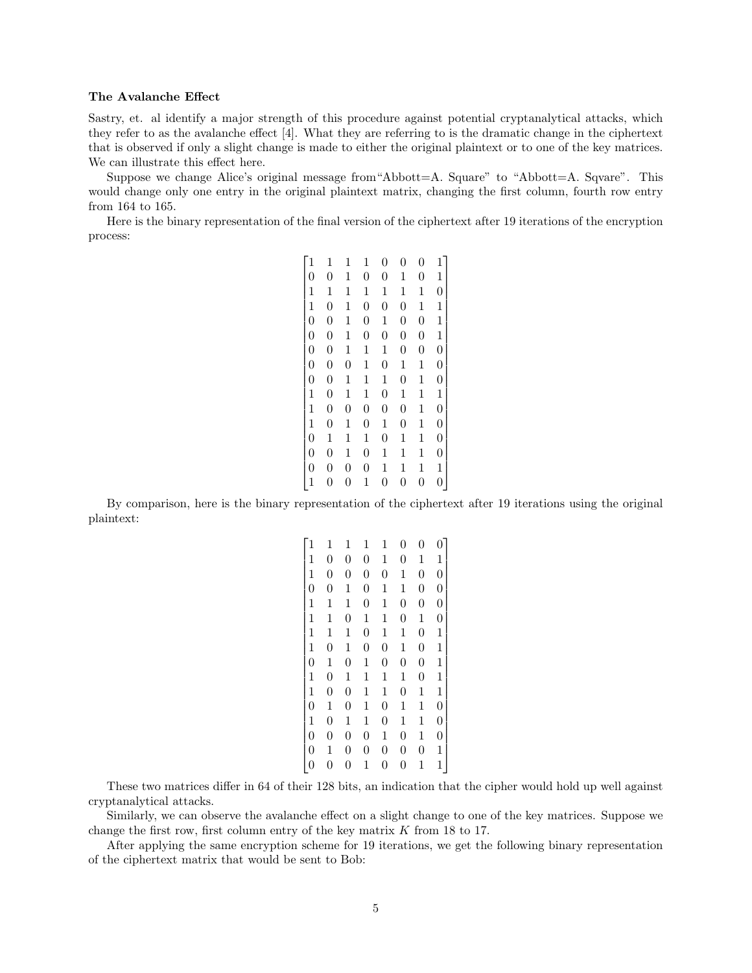#### The Avalanche Effect

Sastry, et. al identify a major strength of this procedure against potential cryptanalytical attacks, which they refer to as the avalanche effect [4]. What they are referring to is the dramatic change in the ciphertext that is observed if only a slight change is made to either the original plaintext or to one of the key matrices. We can illustrate this effect here.

Suppose we change Alice's original message from  $Abbott=A$ . Square" to  $Abbott=A$ . Square". This would change only one entry in the original plaintext matrix, changing the first column, fourth row entry from 164 to 165.

Here is the binary representation of the final version of the ciphertext after 19 iterations of the encryption process:

| $\mathbf{1}$   | 1                | 1                | 1                | 0              | $\overline{0}$   | $\boldsymbol{0}$ | $\mathbf{1}$     |  |
|----------------|------------------|------------------|------------------|----------------|------------------|------------------|------------------|--|
| $\overline{0}$ | $\boldsymbol{0}$ | 1                | $\boldsymbol{0}$ | $\overline{0}$ | 1                | $\boldsymbol{0}$ | $\mathbf{1}$     |  |
| $\mathbf{1}$   | $\mathbf 1$      | $\mathbf 1$      | 1                | 1              | $\mathbf 1$      | $\mathbf 1$      | $\boldsymbol{0}$ |  |
| $\mathbf{1}$   | $\boldsymbol{0}$ | $\mathbf{1}$     | $\overline{0}$   | $\overline{0}$ | $\boldsymbol{0}$ | $\mathbf{1}$     | $\mathbf{1}$     |  |
| $\overline{0}$ | $\boldsymbol{0}$ | $\mathbf{1}$     | $\boldsymbol{0}$ | $\mathbf 1$    | $\boldsymbol{0}$ | $\overline{0}$   | $\mathbf{1}$     |  |
| $\overline{0}$ | $\overline{0}$   | $\mathbf{1}$     | $\overline{0}$   | $\overline{0}$ | $\overline{0}$   | $\overline{0}$   | $\mathbf{1}$     |  |
| $\overline{0}$ | $\boldsymbol{0}$ | $\mathbf{1}$     | $\mathbf 1$      | $\mathbf{1}$   | $\boldsymbol{0}$ | $\overline{0}$   | $\overline{0}$   |  |
| $\overline{0}$ | $\boldsymbol{0}$ | $\overline{0}$   | $\mathbf 1$      | $\overline{0}$ | $\mathbf 1$      | $\mathbf 1$      | $\boldsymbol{0}$ |  |
| $\overline{0}$ | $\overline{0}$   | 1                | 1                | 1              | $\overline{0}$   | $\mathbf 1$      | $\overline{0}$   |  |
| $\mathbf{1}$   | $\boldsymbol{0}$ | $\mathbf{1}$     | $\mathbf 1$      | $\overline{0}$ | $\mathbf 1$      | $\mathbf{1}$     | $\mathbf{1}$     |  |
| $\mathbf{1}$   | $\overline{0}$   | $\overline{0}$   | $\overline{0}$   | $\overline{0}$ | $\overline{0}$   | $\mathbf{1}$     | $\overline{0}$   |  |
| $\mathbf{1}$   | $\overline{0}$   | 1                | $\overline{0}$   | $\mathbf 1$    | $\boldsymbol{0}$ | $\mathbf 1$      | $\boldsymbol{0}$ |  |
| $\overline{0}$ | $\mathbf{1}$     | 1                | $\mathbf 1$      | $\overline{0}$ | $\mathbf{1}$     | $\mathbf{1}$     | $\boldsymbol{0}$ |  |
| $\overline{0}$ | $\overline{0}$   | 1                | $\overline{0}$   | $\mathbf 1$    | 1                | $\mathbf 1$      | $\boldsymbol{0}$ |  |
| $\overline{0}$ | $\boldsymbol{0}$ | $\boldsymbol{0}$ | 0                | 1              | $\mathbf 1$      | $\mathbf 1$      | $\mathbf{1}$     |  |
| $\mathbf{1}$   | $\overline{0}$   | $\overline{0}$   |                  | $\overline{0}$ | $\overline{0}$   | $\overline{0}$   | $\overline{0}$   |  |

By comparison, here is the binary representation of the ciphertext after 19 iterations using the original plaintext:

| $\mathbf{1}$   | $\mathbf{1}$     | $\mathbf{1}$     | $\mathbf{1}$     | $\mathbf{1}$     | $\overline{0}$ | $\boldsymbol{0}$ | $\overline{0}$   |
|----------------|------------------|------------------|------------------|------------------|----------------|------------------|------------------|
| $\mathbf 1$    | $\overline{0}$   | $\boldsymbol{0}$ | $\boldsymbol{0}$ | 1                | $\overline{0}$ | 1                | $\mathbf 1$      |
| $\mathbf{1}$   | $\overline{0}$   | $\boldsymbol{0}$ | $\boldsymbol{0}$ | $\boldsymbol{0}$ | 1              | $\boldsymbol{0}$ | $\overline{0}$   |
| $\overline{0}$ | $\overline{0}$   | $\mathbf{1}$     | $\overline{0}$   | 1                | $\mathbf{1}$   | $\overline{0}$   | $\overline{0}$   |
| $\mathbf{1}$   | $\mathbf{1}$     | 1                | $\overline{0}$   | $\mathbf{1}$     | $\overline{0}$ | 0                | $\boldsymbol{0}$ |
| $\overline{1}$ | $\mathbf 1$      | $\boldsymbol{0}$ | 1                | 1                | $\overline{0}$ | $\mathbf 1$      | $\boldsymbol{0}$ |
| $\mathbf{1}$   | $\mathbf 1$      | $\mathbf 1$      | $\overline{0}$   | $\mathbf{1}$     | $\mathbf{1}$   | $\overline{0}$   | $\mathbf{1}$     |
| $\mathbf{1}$   | $\boldsymbol{0}$ | $\mathbf 1$      | $\boldsymbol{0}$ | $\boldsymbol{0}$ | $\mathbf{1}$   | $\boldsymbol{0}$ | $\mathbf{1}$     |
| $\overline{0}$ | $\mathbf{1}$     | $\boldsymbol{0}$ | $\mathbf{1}$     | $\overline{0}$   | $\overline{0}$ | $\boldsymbol{0}$ | $\mathbf{1}$     |
| $\mathbf{1}$   | $\overline{0}$   | $\mathbf 1$      | $\mathbf{1}$     | $\mathbf 1$      | $\mathbf{1}$   | $\boldsymbol{0}$ | $\mathbf{1}$     |
| $\mathbf{1}$   | $\overline{0}$   | $\overline{0}$   | $\mathbf{1}$     | $\mathbf{1}$     | $\overline{0}$ | $\mathbf 1$      | $\mathbf{1}$     |
| $\overline{0}$ | $\mathbf{1}$     | $\boldsymbol{0}$ | $\mathbf 1$      | $\overline{0}$   | 1              | $\mathbf 1$      | $\overline{0}$   |
| $\mathbf{1}$   | $\overline{0}$   | $\mathbf 1$      | $\mathbf{1}$     | $\boldsymbol{0}$ | $\mathbf{1}$   | $\mathbf{1}$     | $\overline{0}$   |
| $\overline{0}$ | $\overline{0}$   | $\overline{0}$   | $\overline{0}$   | $\mathbf{1}$     | $\overline{0}$ | $\mathbf 1$      | $\overline{0}$   |
| $\overline{0}$ | 1                | $\boldsymbol{0}$ | $\boldsymbol{0}$ | $\boldsymbol{0}$ | $\overline{0}$ | $\boldsymbol{0}$ | $\mathbf 1$      |
| 0              | 0                | $\boldsymbol{0}$ | 1                | 0                | $\overline{0}$ | $\mathbf 1$      | $\mathbf 1$      |

These two matrices differ in 64 of their 128 bits, an indication that the cipher would hold up well against cryptanalytical attacks.

Similarly, we can observe the avalanche effect on a slight change to one of the key matrices. Suppose we change the first row, first column entry of the key matrix  $K$  from 18 to 17.

After applying the same encryption scheme for 19 iterations, we get the following binary representation of the ciphertext matrix that would be sent to Bob: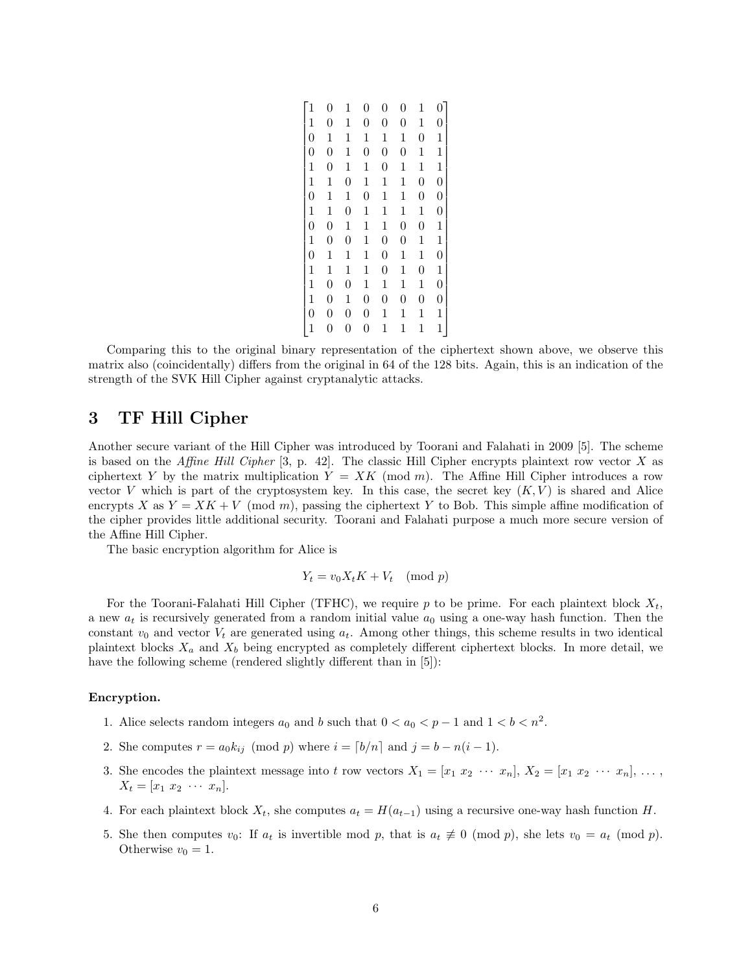|                | $\overline{0}$   | 1                | $\overline{0}$   | 0                | $\overline{0}$   | 1              | 0                |
|----------------|------------------|------------------|------------------|------------------|------------------|----------------|------------------|
| $\mathbf{1}$   | $\boldsymbol{0}$ | 1                | $\boldsymbol{0}$ | 0                | $\overline{0}$   | $\mathbf 1$    | $\overline{0}$   |
| $\overline{0}$ | $\mathbf{1}$     | $\mathbf{1}$     | $\mathbf 1$      | $\mathbf 1$      | $\mathbf 1$      | $\overline{0}$ | $\mathbf{1}$     |
| $\overline{0}$ | $\overline{0}$   | $\mathbf 1$      | $\boldsymbol{0}$ | $\boldsymbol{0}$ | $\boldsymbol{0}$ | $\mathbf 1$    | $\mathbf{1}$     |
| $\mathbf{1}$   | $\overline{0}$   | $\mathbf 1$      | $\mathbf 1$      | $\boldsymbol{0}$ | $\mathbf 1$      | $\mathbf 1$    | $\mathbf{1}$     |
| $\mathbf{1}$   | $\mathbf 1$      | $\overline{0}$   | $\mathbf 1$      | $\mathbf 1$      | $\mathbf 1$      | $\overline{0}$ | $\overline{0}$   |
| $\overline{0}$ | $\mathbf 1$      | 1                | $\boldsymbol{0}$ | $\mathbf 1$      | $\mathbf 1$      | $\overline{0}$ | $\boldsymbol{0}$ |
| $\mathbf{1}$   | $\mathbf 1$      | $\boldsymbol{0}$ | $\mathbf{1}$     | $\mathbf 1$      | $\mathbf 1$      | $\mathbf 1$    | $\boldsymbol{0}$ |
| $\overline{0}$ | $\overline{0}$   | $\mathbf 1$      | $\mathbf{1}$     | $\mathbf 1$      | $\overline{0}$   | $\overline{0}$ | $\mathbf{1}$     |
| $\mathbf{1}$   | $\overline{0}$   | $\boldsymbol{0}$ | 1                | $\boldsymbol{0}$ | $\boldsymbol{0}$ | $\mathbf 1$    | $\mathbf{1}$     |
| $\overline{0}$ | $\mathbf 1$      | 1                | 1                | $\boldsymbol{0}$ | $\mathbf 1$      | $\mathbf 1$    | $\overline{0}$   |
| $\mathbf{1}$   | $\mathbf 1$      | $\mathbf 1$      | $\mathbf{1}$     | $\boldsymbol{0}$ | $\mathbf 1$      | $\overline{0}$ | $\mathbf{1}$     |
| $\mathbf{1}$   | $\overline{0}$   | $\boldsymbol{0}$ | 1                | 1                | 1                | $\mathbf 1$    | $\overline{0}$   |
| $\overline{1}$ | $\overline{0}$   | $\mathbf{1}$     | $\boldsymbol{0}$ | $\boldsymbol{0}$ | $\overline{0}$   | $\overline{0}$ | $\boldsymbol{0}$ |
| $\overline{0}$ | $\boldsymbol{0}$ | $\boldsymbol{0}$ | $\boldsymbol{0}$ | $\mathbf 1$      | $\mathbf 1$      | $\mathbf 1$    | $\mathbf{1}$     |
|                | $\overline{0}$   | $\overline{0}$   | 0                | 1                | 1                | $\mathbf 1$    | $\mathbf{1}$     |

Comparing this to the original binary representation of the ciphertext shown above, we observe this matrix also (coincidentally) differs from the original in 64 of the 128 bits. Again, this is an indication of the strength of the SVK Hill Cipher against cryptanalytic attacks.

## 3 TF Hill Cipher

Another secure variant of the Hill Cipher was introduced by Toorani and Falahati in 2009 [5]. The scheme is based on the Affine Hill Cipher  $[3, p. 42]$ . The classic Hill Cipher encrypts plaintext row vector X as ciphertext Y by the matrix multiplication  $Y = XK \pmod{m}$ . The Affine Hill Cipher introduces a row vector V which is part of the cryptosystem key. In this case, the secret key  $(K, V)$  is shared and Alice encrypts X as  $Y = XK + V \pmod{m}$ , passing the ciphertext Y to Bob. This simple affine modification of the cipher provides little additional security. Toorani and Falahati purpose a much more secure version of the Affine Hill Cipher.

The basic encryption algorithm for Alice is

$$
Y_t = v_0 X_t K + V_t \pmod{p}
$$

For the Toorani-Falahati Hill Cipher (TFHC), we require p to be prime. For each plaintext block  $X_t$ , a new  $a_t$  is recursively generated from a random initial value  $a_0$  using a one-way hash function. Then the constant  $v_0$  and vector  $V_t$  are generated using  $a_t$ . Among other things, this scheme results in two identical plaintext blocks  $X_a$  and  $X_b$  being encrypted as completely different ciphertext blocks. In more detail, we have the following scheme (rendered slightly different than in [5]):

#### Encryption.

- 1. Alice selects random integers  $a_0$  and b such that  $0 < a_0 < p 1$  and  $1 < b < n^2$ .
- 2. She computes  $r = a_0 k_{ij} \pmod{p}$  where  $i = \lfloor b/n \rfloor$  and  $j = b n(i 1)$ .
- 3. She encodes the plaintext message into t row vectors  $X_1 = [x_1 \ x_2 \ \cdots \ x_n], X_2 = [x_1 \ x_2 \ \cdots \ x_n], \ \ldots$  $X_t = [x_1 \ x_2 \ \cdots \ x_n].$
- 4. For each plaintext block  $X_t$ , she computes  $a_t = H(a_{t-1})$  using a recursive one-way hash function H.
- 5. She then computes  $v_0$ : If  $a_t$  is invertible mod p, that is  $a_t \neq 0 \pmod{p}$ , she lets  $v_0 = a_t \pmod{p}$ . Otherwise  $v_0 = 1$ .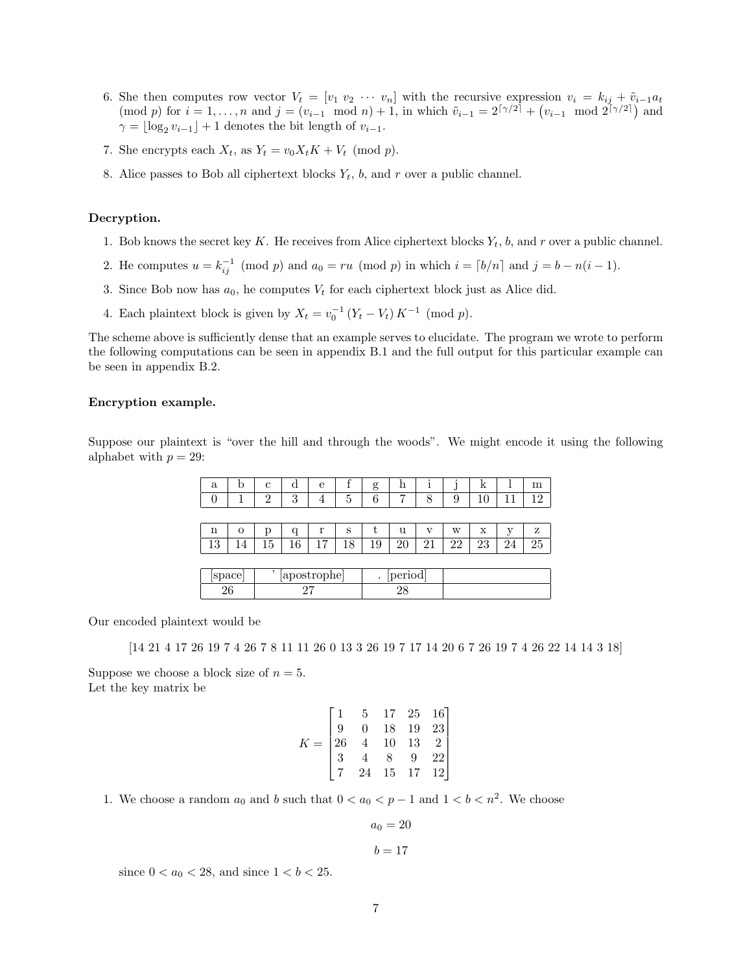- 6. She then computes row vector  $V_t = [v_1 \ v_2 \ \cdots \ v_n]$  with the recursive expression  $v_i = k_{ij} + \tilde{v}_{i-1}a_t$  $p \text{ for } i = 1, ..., n \text{ and } j = (v_{i-1} \mod n) + 1$ , in which  $\tilde{v}_{i-1} = 2^{\lceil \gamma/2 \rceil} + (v_{i-1} \mod 2^{\lceil \gamma/2 \rceil})$  and  $\gamma = \lfloor \log_2 v_{i-1} \rfloor + 1$  denotes the bit length of  $v_{i-1}$ .
- 7. She encrypts each  $X_t$ , as  $Y_t = v_0 X_t K + V_t \pmod{p}$ .
- 8. Alice passes to Bob all ciphertext blocks  $Y_t$ ,  $b$ , and  $r$  over a public channel.

#### Decryption.

- 1. Bob knows the secret key K. He receives from Alice ciphertext blocks  $Y_t$ , b, and r over a public channel.
- 2. He computes  $u = k_{ij}^{-1} \pmod{p}$  and  $a_0 = ru \pmod{p}$  in which  $i = \lfloor b/n \rfloor$  and  $j = b n(i 1)$ .
- 3. Since Bob now has  $a_0$ , he computes  $V_t$  for each ciphertext block just as Alice did.
- 4. Each plaintext block is given by  $X_t = v_0^{-1} (Y_t V_t) K^{-1} \pmod{p}$ .

The scheme above is sufficiently dense that an example serves to elucidate. The program we wrote to perform the following computations can be seen in appendix B.1 and the full output for this particular example can be seen in appendix B.2.

#### Encryption example.

Suppose our plaintext is "over the hill and through the woods". We might encode it using the following alphabet with  $p = 29$ :

| a                | b        | с              | α            | e  |    | g                     | h  | ı  | IJ | k  |    | m  |
|------------------|----------|----------------|--------------|----|----|-----------------------|----|----|----|----|----|----|
| $\left( \right)$ |          | $\overline{2}$ | 3            | 4  | 5  | 6                     |    | 8  | 9  | 10 |    | 12 |
|                  |          |                |              |    |    |                       |    |    |    |    |    |    |
| n                | $\Omega$ | р              | q            | r  | S  | t                     | u  | v  | W  | X  | v  | Ζ  |
| 13               | 14       | 15             | 16           | 17 | 18 | 19                    | 20 | 21 | 22 | 23 | 24 | 25 |
|                  |          |                |              |    |    |                       |    |    |    |    |    |    |
| [space]          |          |                | [apostrophe] |    |    | [period]<br>$\bullet$ |    |    |    |    |    |    |
| 26               |          |                | 27           |    |    | 28                    |    |    |    |    |    |    |

Our encoded plaintext would be

[14 21 4 17 26 19 7 4 26 7 8 11 11 26 0 13 3 26 19 7 17 14 20 6 7 26 19 7 4 26 22 14 14 3 18]

Suppose we choose a block size of  $n = 5$ . Let the key matrix be

$$
K = \begin{bmatrix} 1 & 5 & 17 & 25 & 16 \\ 9 & 0 & 18 & 19 & 23 \\ 26 & 4 & 10 & 13 & 2 \\ 3 & 4 & 8 & 9 & 22 \\ 7 & 24 & 15 & 17 & 12 \end{bmatrix}
$$

1. We choose a random  $a_0$  and b such that  $0 < a_0 < p - 1$  and  $1 < b < n^2$ . We choose

$$
a_0 = 20
$$

$$
b=17
$$

since  $0 < a_0 < 28$ , and since  $1 < b < 25$ .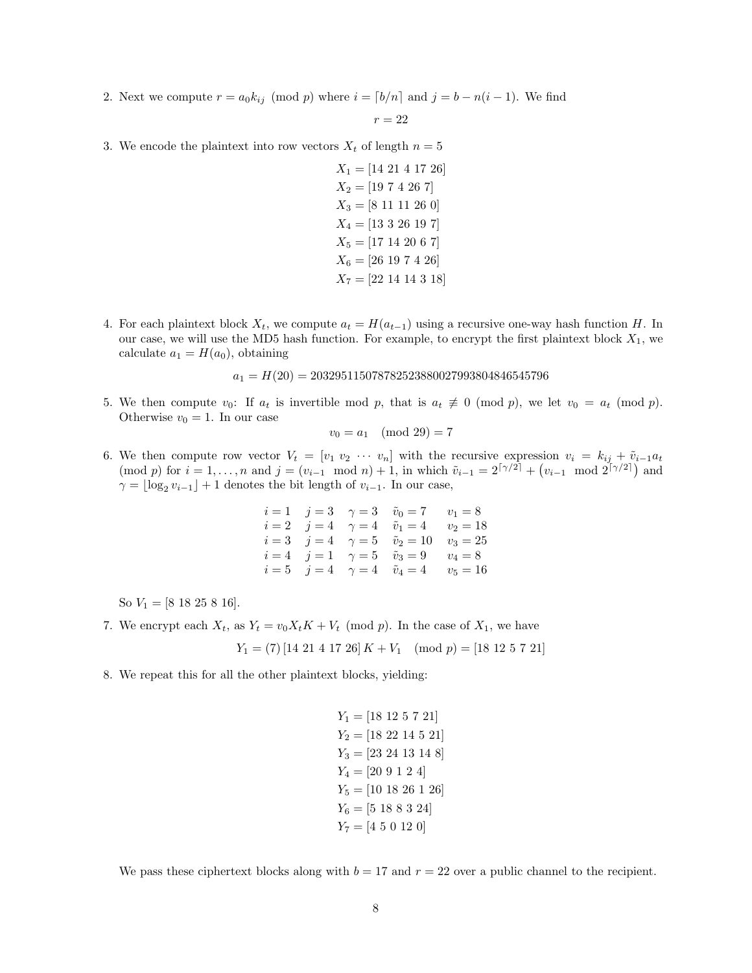2. Next we compute  $r = a_0 k_{ij} \pmod{p}$  where  $i = \lfloor b/n \rfloor$  and  $j = b - n(i - 1)$ . We find

$$
r=22
$$

3. We encode the plaintext into row vectors  $X_t$  of length  $n = 5$ 

- $X_1 = [14\ 21\ 4\ 17\ 26]$  $X_2 = [19 7 4 26 7]$  $X_3 = [8 11 11 26 0]$  $X_4 = [13 \ 3 \ 26 \ 19 \ 7]$  $X_5 = [17 14 20 6 7]$  $X_6 = [26 19 7 4 26]$  $X_7 = [22 14 14 3 18]$
- 4. For each plaintext block  $X_t$ , we compute  $a_t = H(a_{t-1})$  using a recursive one-way hash function H. In our case, we will use the MD5 hash function. For example, to encrypt the first plaintext block  $X_1$ , we calculate  $a_1 = H(a_0)$ , obtaining

 $a_1 = H(20) = 203295115078782523880027993804846545796$ 

5. We then compute  $v_0$ : If  $a_t$  is invertible mod p, that is  $a_t \not\equiv 0 \pmod{p}$ , we let  $v_0 = a_t \pmod{p}$ . Otherwise  $v_0 = 1$ . In our case

$$
v_0 = a_1 \pmod{29} = 7
$$

6. We then compute row vector  $V_t = [v_1 v_2 \cdots v_n]$  with the recursive expression  $v_i = k_{ij} + \tilde{v}_{i-1} a_t$  $p \text{ for } i = 1, ..., n \text{ and } j = (v_{i-1} \mod n) + 1$ , in which  $\tilde{v}_{i-1} = 2^{\lceil \gamma/2 \rceil} + (v_{i-1} \mod 2^{\lceil \gamma/2 \rceil})$  and  $\gamma = \lfloor \log_2 v_{i-1} \rfloor + 1$  denotes the bit length of  $v_{i-1}$ . In our case,

|  | $i = 1$ $j = 3$ $\gamma = 3$ $\tilde{v}_0 = 7$ $v_1 = 8$   |            |
|--|------------------------------------------------------------|------------|
|  | $i = 2$ $j = 4$ $\gamma = 4$ $\tilde{v}_1 = 4$ $v_2 = 18$  |            |
|  | $i = 3$ $j = 4$ $\gamma = 5$ $\tilde{v}_2 = 10$ $v_3 = 25$ |            |
|  | $i = 4$ $j = 1$ $\gamma = 5$ $\tilde{v}_3 = 9$ $v_4 = 8$   |            |
|  | $i = 5$ $j = 4$ $\gamma = 4$ $\tilde{v}_4 = 4$             | $v_5 = 16$ |

So  $V_1 = [8 18 25 8 16].$ 

- 7. We encrypt each  $X_t$ , as  $Y_t = v_0 X_t K + V_t \pmod{p}$ . In the case of  $X_1$ , we have
	- $Y_1 = (7) [14\ 21\ 4\ 17\ 26] K + V_1 \pmod{p} = [18\ 12\ 5\ 7\ 21]$
- 8. We repeat this for all the other plaintext blocks, yielding:

```
Y_1 = [18 12 5 7 21]Y_2 = [18\ 22\ 14\ 5\ 21]Y_3 = [23\ 24\ 13\ 14\ 8]Y_4 = [20 9 1 2 4]Y_5 = [10 18 26 1 26]Y_6 = [5 18 8 3 24]Y_7 = [4 5 0 12 0]
```
We pass these ciphertext blocks along with  $b = 17$  and  $r = 22$  over a public channel to the recipient.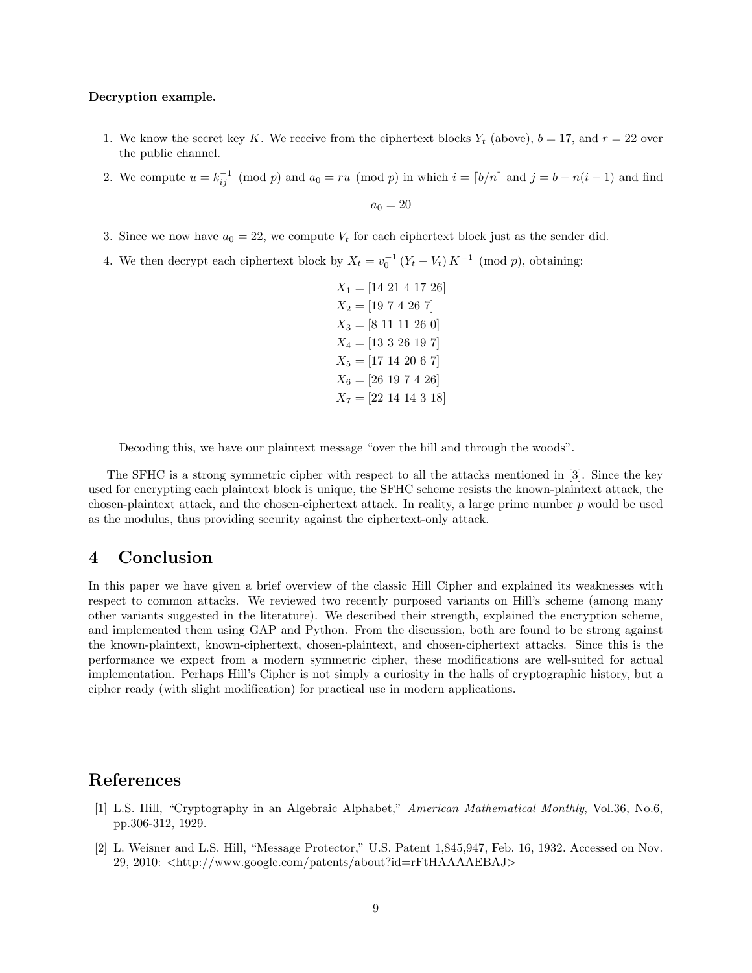#### Decryption example.

- 1. We know the secret key K. We receive from the ciphertext blocks  $Y_t$  (above),  $b = 17$ , and  $r = 22$  over the public channel.
- 2. We compute  $u = k_{ij}^{-1} \pmod{p}$  and  $a_0 = ru \pmod{p}$  in which  $i = \lfloor b/n \rfloor$  and  $j = b n(i 1)$  and find

 $a_0 = 20$ 

- 3. Since we now have  $a_0 = 22$ , we compute  $V_t$  for each ciphertext block just as the sender did.
- 4. We then decrypt each ciphertext block by  $X_t = v_0^{-1} (Y_t V_t) K^{-1}$  (mod p), obtaining:

 $X_1 = [14\ 21\ 4\ 17\ 26]$  $X_2 = [19 7 4 26 7]$  $X_3 = [8 11 11 26 0]$  $X_4 = [13 \ 3 \ 26 \ 19 \ 7]$  $X_5 = [17 14 20 6 7]$  $X_6 = [26 19 7 4 26]$  $X_7 = [22 14 14 3 18]$ 

Decoding this, we have our plaintext message "over the hill and through the woods".

The SFHC is a strong symmetric cipher with respect to all the attacks mentioned in [3]. Since the key used for encrypting each plaintext block is unique, the SFHC scheme resists the known-plaintext attack, the chosen-plaintext attack, and the chosen-ciphertext attack. In reality, a large prime number  $p$  would be used as the modulus, thus providing security against the ciphertext-only attack.

## 4 Conclusion

In this paper we have given a brief overview of the classic Hill Cipher and explained its weaknesses with respect to common attacks. We reviewed two recently purposed variants on Hill's scheme (among many other variants suggested in the literature). We described their strength, explained the encryption scheme, and implemented them using GAP and Python. From the discussion, both are found to be strong against the known-plaintext, known-ciphertext, chosen-plaintext, and chosen-ciphertext attacks. Since this is the performance we expect from a modern symmetric cipher, these modifications are well-suited for actual implementation. Perhaps Hill's Cipher is not simply a curiosity in the halls of cryptographic history, but a cipher ready (with slight modification) for practical use in modern applications.

## References

- [1] L.S. Hill, "Cryptography in an Algebraic Alphabet," American Mathematical Monthly, Vol.36, No.6, pp.306-312, 1929.
- [2] L. Weisner and L.S. Hill, "Message Protector," U.S. Patent 1,845,947, Feb. 16, 1932. Accessed on Nov. 29, 2010: <http://www.google.com/patents/about?id=rFtHAAAAEBAJ>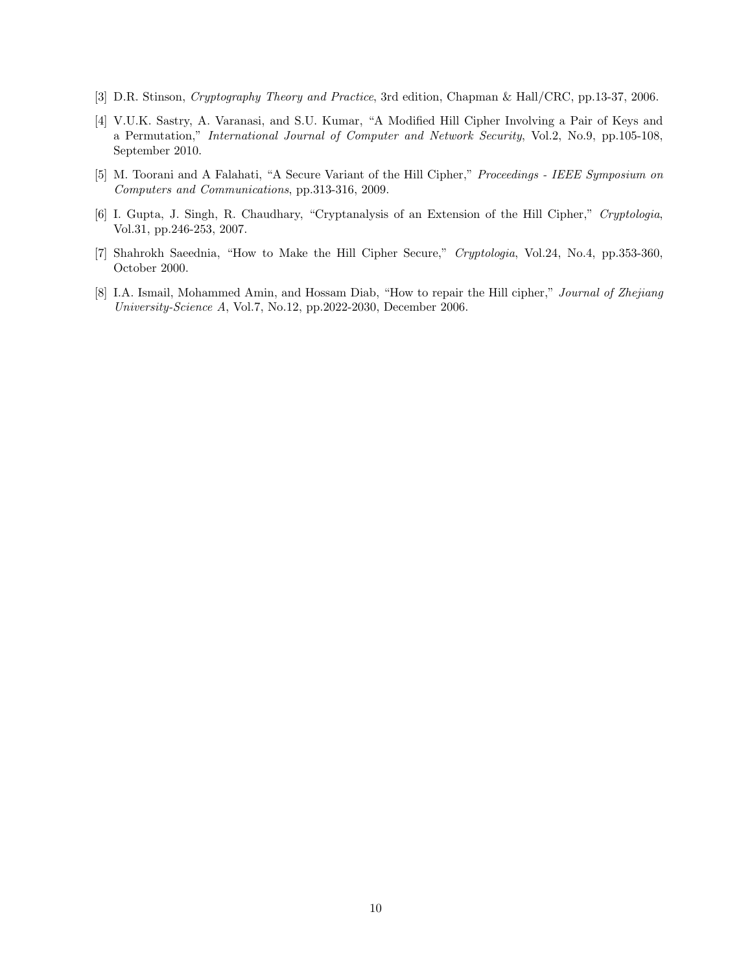- [3] D.R. Stinson, Cryptography Theory and Practice, 3rd edition, Chapman & Hall/CRC, pp.13-37, 2006.
- [4] V.U.K. Sastry, A. Varanasi, and S.U. Kumar, "A Modified Hill Cipher Involving a Pair of Keys and a Permutation," International Journal of Computer and Network Security, Vol.2, No.9, pp.105-108, September 2010.
- [5] M. Toorani and A Falahati, "A Secure Variant of the Hill Cipher," Proceedings IEEE Symposium on Computers and Communications, pp.313-316, 2009.
- [6] I. Gupta, J. Singh, R. Chaudhary, "Cryptanalysis of an Extension of the Hill Cipher," Cryptologia, Vol.31, pp.246-253, 2007.
- [7] Shahrokh Saeednia, "How to Make the Hill Cipher Secure," Cryptologia, Vol.24, No.4, pp.353-360, October 2000.
- [8] I.A. Ismail, Mohammed Amin, and Hossam Diab, "How to repair the Hill cipher," Journal of Zhejiang University-Science A, Vol.7, No.12, pp.2022-2030, December 2006.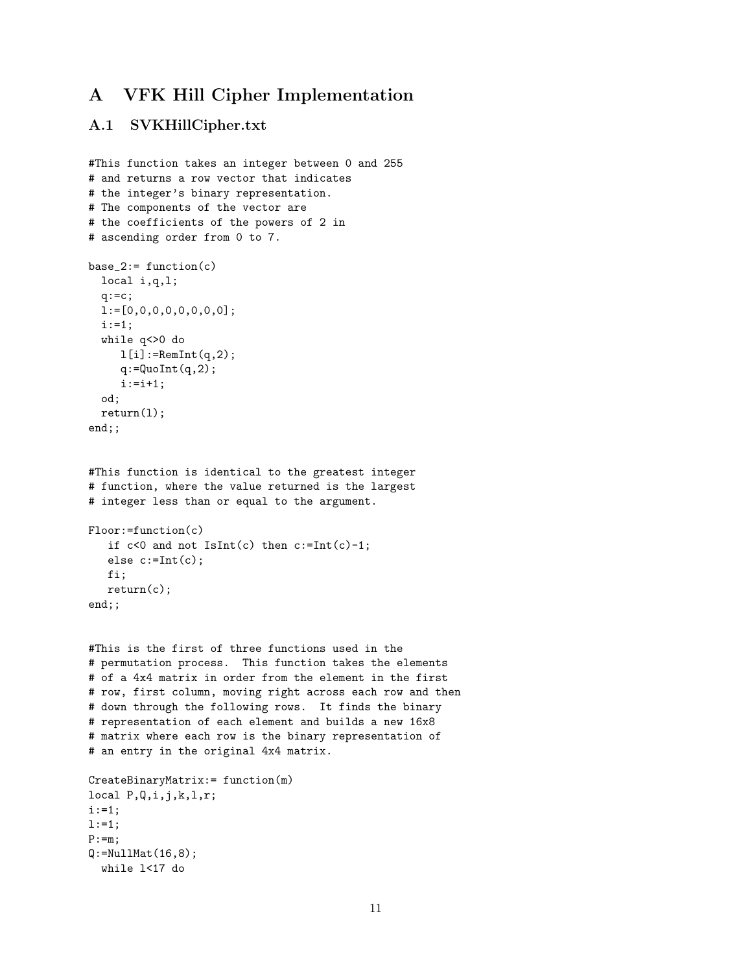## A VFK Hill Cipher Implementation

## A.1 SVKHillCipher.txt

```
#This function takes an integer between 0 and 255
# and returns a row vector that indicates
# the integer's binary representation.
# The components of the vector are
# the coefficients of the powers of 2 in
# ascending order from 0 to 7.
base_2:= function(c)local i,q,l;
  q:=c;l:=[0,0,0,0,0,0,0,0];
  i:=1;
  while q<>0 do
    1[i]:=RemInt(q,2);q:=QuofInt(q,2);i := i + 1;od;
 return(l);
end;;
#This function is identical to the greatest integer
# function, where the value returned is the largest
# integer less than or equal to the argument.
Floor:=function(c)
   if c < 0 and not IsInt(c) then c:=Int(c)-1;
   else c:=Int(c);
  fi;
   return(c);
end;;
#This is the first of three functions used in the
# permutation process. This function takes the elements
# of a 4x4 matrix in order from the element in the first
# row, first column, moving right across each row and then
# down through the following rows. It finds the binary
# representation of each element and builds a new 16x8
# matrix where each row is the binary representation of
# an entry in the original 4x4 matrix.
CreateBinaryMatrix:= function(m)
local P,Q,i,j,k,l,r;
i:=1;
1:=1;P:=m;Q:=Nu11Mat(16,8);while l<17 do
```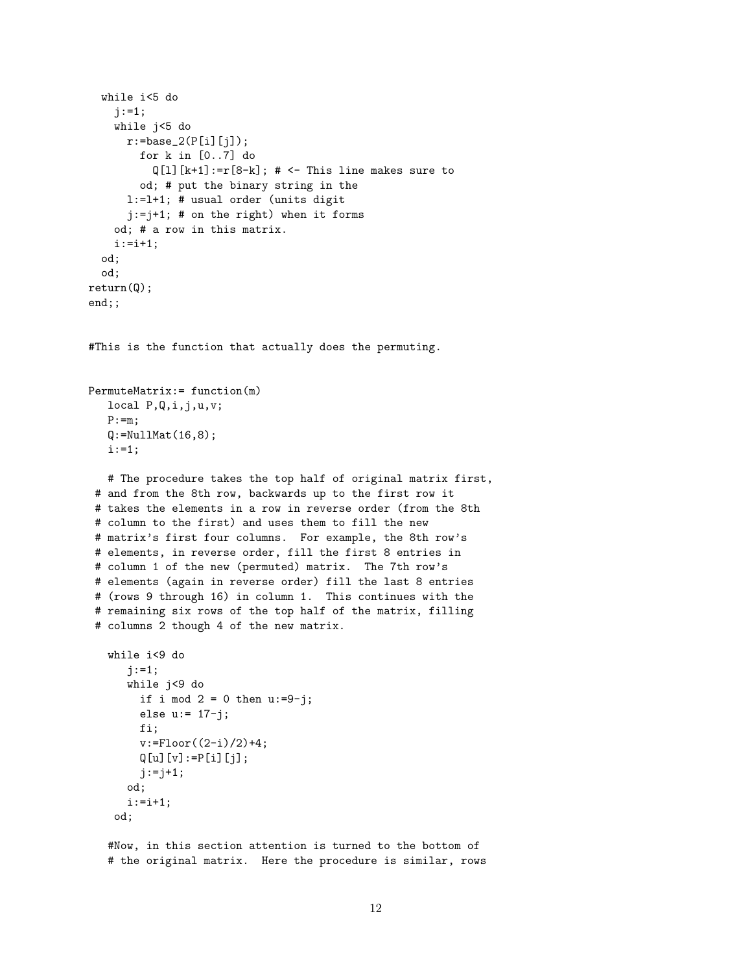```
while i<5 do
   j := 1;while j<5 do
     r:=base_2(P[i][j]);
       for k in [0..7] do
          Q[1][k+1]:=r[8-k]; # <- This line makes sure to
       od; # put the binary string in the
      l:=l+1; # usual order (units digit
      j:=j+1; # on the right) when it forms
   od; # a row in this matrix.
   i := i + 1;od;
 od;
return(Q);
end;;
#This is the function that actually does the permuting.
PermuteMatrix:= function(m)
  local P,Q,i,j,u,v;
  P:=m;Q: = NullMat(16, 8);i:=1;
  # The procedure takes the top half of original matrix first,
 # and from the 8th row, backwards up to the first row it
# takes the elements in a row in reverse order (from the 8th
 # column to the first) and uses them to fill the new
# matrix's first four columns. For example, the 8th row's
# elements, in reverse order, fill the first 8 entries in
# column 1 of the new (permuted) matrix. The 7th row's
# elements (again in reverse order) fill the last 8 entries
# (rows 9 through 16) in column 1. This continues with the
# remaining six rows of the top half of the matrix, filling
 # columns 2 though 4 of the new matrix.
   while i<9 do
      j := 1;while j<9 do
       if i mod 2 = 0 then u:=9-j;
       else u:= 17-j;
       fi;
       v:=Floor((2-i)/2)+4;
       Q[u][v] := P[i][j];j := j + 1;od;
      i := i + 1;od;
   #Now, in this section attention is turned to the bottom of
   # the original matrix. Here the procedure is similar, rows
```

```
12
```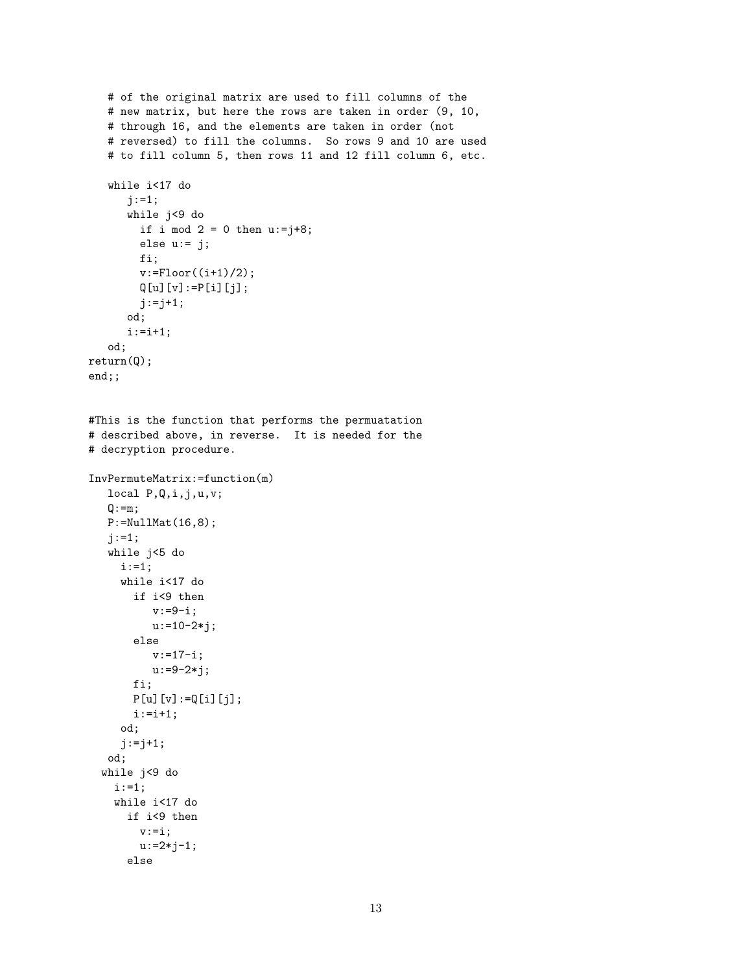```
# of the original matrix are used to fill columns of the
   # new matrix, but here the rows are taken in order (9, 10,
   # through 16, and the elements are taken in order (not
   # reversed) to fill the columns. So rows 9 and 10 are used
   # to fill column 5, then rows 11 and 12 fill column 6, etc.
   while i<17 do
      j := 1;while j<9 do
        if i mod 2 = 0 then u:=j+8;
        else u:= j;
        fi;
        v: =Floor((i+1)/2);
        Q[u][v]:=P[i][j];j := j + 1;od;
      i := i + 1;od;
return(Q);
end;;
#This is the function that performs the permuatation
# described above, in reverse. It is needed for the
# decryption procedure.
InvPermuteMatrix:=function(m)
  local P,Q,i,j,u,v;
  Q := m;P:=NullMat(16,8);
   j := 1;while j<5 do
    i:=1;
     while i<17 do
       if i<9 then
          v:=9-i;u:=10-2* j;else
          v:=17-i;u: = 9 - 2 * j;fi;
       P[u][v]:=Q[i][j];i := i + 1;od;
     j:=j+1;
  od;
  while j<9 do
   i := 1;while i<17 do
      if i<9 then
        v:=i;u:=2*j-1;else
```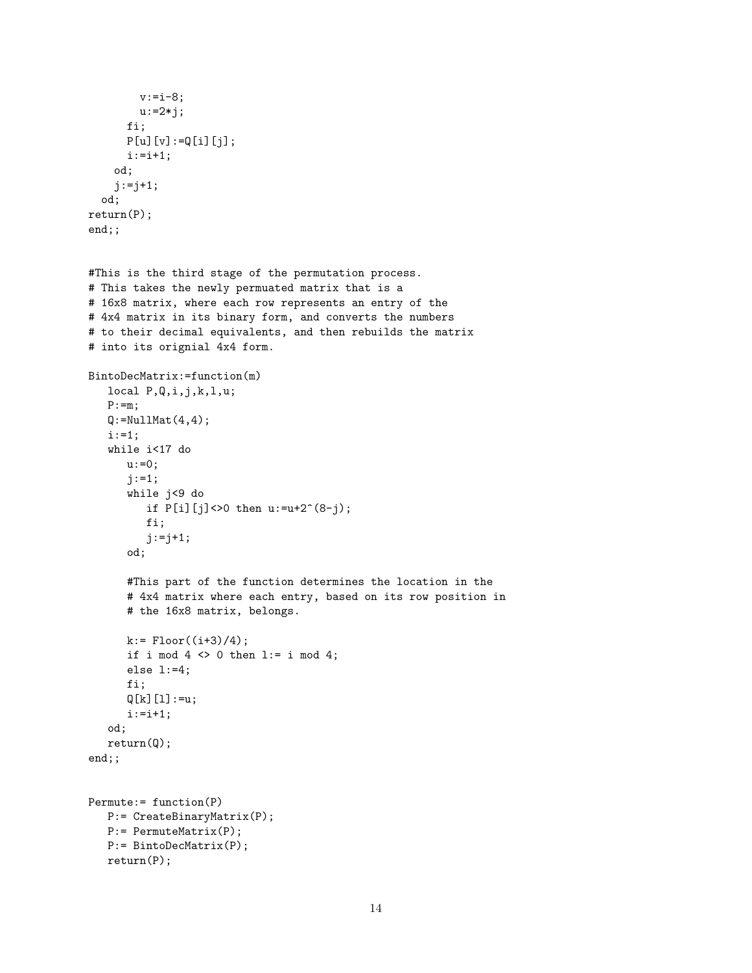```
v:=i-8;
        u:=2*j;
      fi;
      P[u][v]:=Q[i][j];i := i + 1;od;
    j := j + 1;od;
return(P);
end;;
#This is the third stage of the permutation process.
# This takes the newly permuated matrix that is a
# 16x8 matrix, where each row represents an entry of the
# 4x4 matrix in its binary form, and converts the numbers
# to their decimal equivalents, and then rebuilds the matrix
# into its orignial 4x4 form.
BintoDecMatrix:=function(m)
  local P,Q,i,j,k,l,u;
  P:=m;Q:=Nu11Mat(4,4);i:=1;
   while i<17 do
     u: =0;j := 1;while j<9 do
         if P[i][j] <> 0 then u := u + 2^(8-j);
         fi;
         j := j + 1;od;
      #This part of the function determines the location in the
      # 4x4 matrix where each entry, based on its row position in
      # the 16x8 matrix, belongs.
      k:= Floor((i+3)/4);
      if i mod 4 \leq 0 then l:= i mod 4;
      else l:=4;
      fi;
      Q[k][1]:=u;i := i + 1;od;
   return(Q);
end;;
Permute:= function(P)
  P:= CreateBinaryMatrix(P);
  P:= PermuteMatrix(P);
  P:= BintoDecMatrix(P);
  return(P);
```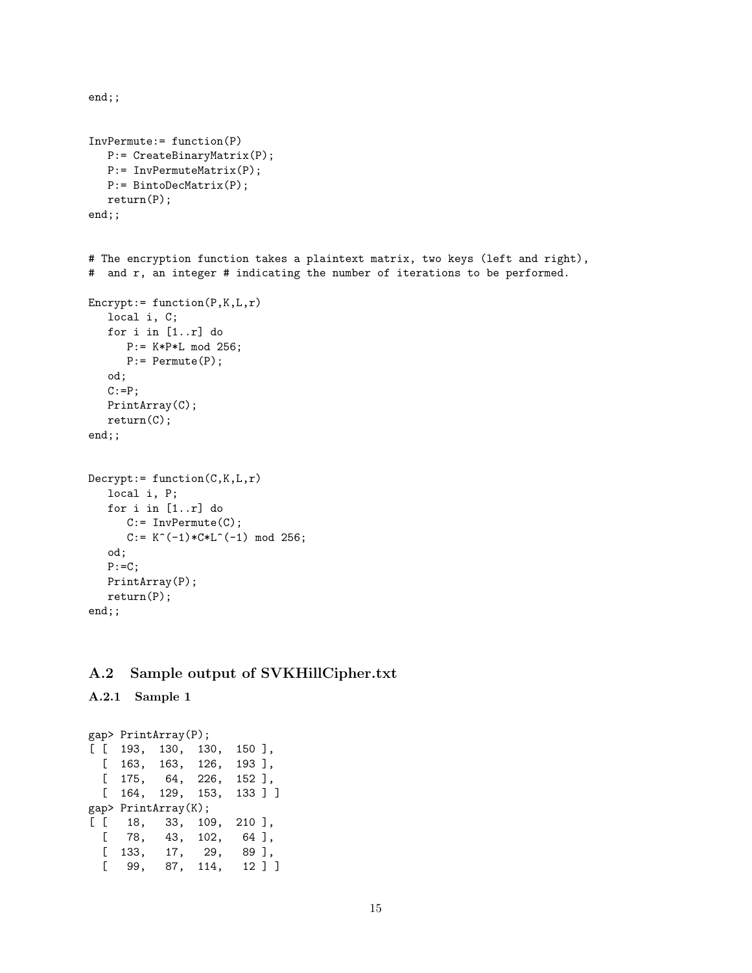```
end;;
InvPermute:= function(P)
  P:= CreateBinaryMatrix(P);
  P:= InvPermuteMatrix(P);
  P:= BintoDecMatrix(P);
   return(P);
end;;
# The encryption function takes a plaintext matrix, two keys (left and right),
# and r, an integer # indicating the number of iterations to be performed.
\text{Encryption}(P,K,L,r)local i, C;
  for i in [1..r] do
     P:= K*P*L mod 256;
     P:= Permute(P);
   od;
   C:=P;PrintArray(C);
  return(C);
end;;
Decrypt: = function(C, K, L, r)local i, P;
  for i in [1..r] do
      C:= InvPermute(C);
      C:= K^(-1)*C*L^(-1) \mod 256;od;
  P:=C;
  PrintArray(P);
   return(P);
end;;
```
## A.2 Sample output of SVKHillCipher.txt

```
A.2.1 Sample 1
```

```
gap> PrintArray(P);
[ [ 193, 130, 130, 150 ],
 [ 163, 163, 126, 193 ],
 [ 175, 64, 226, 152 ],
 [ 164, 129, 153, 133 ] ]
gap> PrintArray(K);
[ [ 18, 33, 109, 210 ],
 [ 78, 43, 102, 64 ],
 [ 133, 17, 29, 89 ],
 [ 99, 87, 114, 12 ] ]
```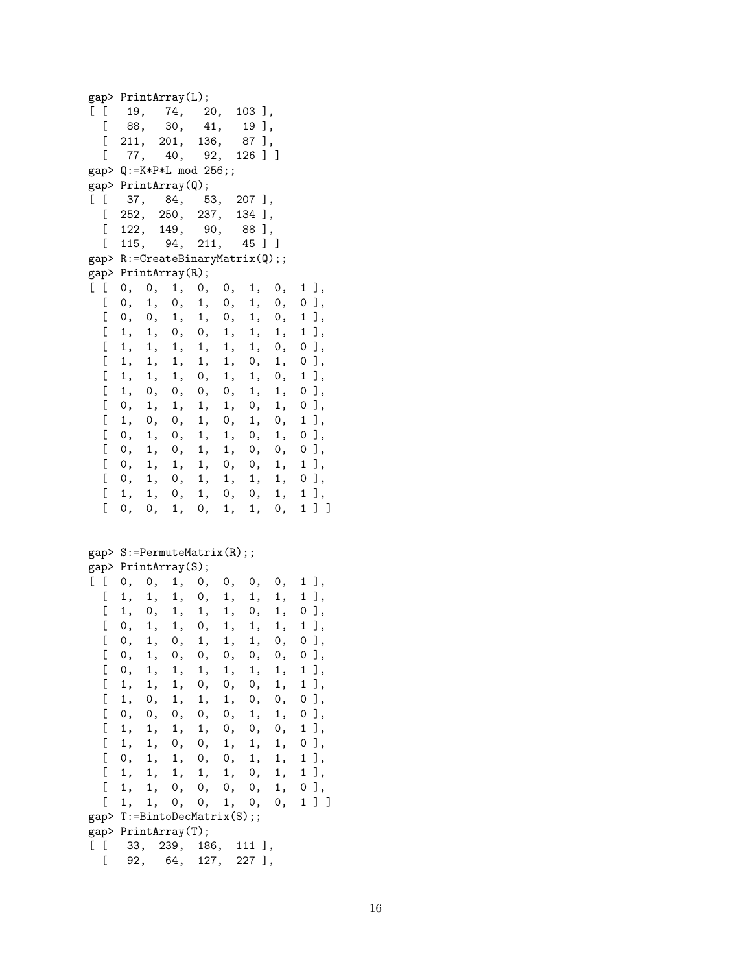gap> PrintArray(L); [ [ 19, 74, 20, 103 ], [ 88, 30, 41, 19 ], [ 211, 201, 136, 87 ],  $\begin{bmatrix} 77, & 40, & 92, & 126 \end{bmatrix}$ gap> Q:=K\*P\*L mod 256;; gap> PrintArray $(Q)$ ;<br>[[ 37, 84, 5 [ [ 37, 84, 53, 207 ], [ 252, 250, 237, 134 ], [ 122, 149, 90, 88 ], [ 115, 94, 211, 45 ] ] gap> R:=CreateBinaryMatrix(Q);; gap> PrintArray(R);  $[ [ 0, 0, 1, 0, 0, 1, 0, 1]$ [ 0, 1, 0, 1, 0, 1, 0, 0 ], [ 0, 0, 1, 1, 0, 1, 0, 1 ],  $[1, 1, 0, 0, 1, 1, 1, 1],$  $[1, 1, 1, 1, 1, 1, 1, 0, 0],$  $[1, 1, 1, 1, 1, 0, 1, 0],$  $\begin{bmatrix} 1, 1, 1, 0, 1, 1, 0, 1 \end{bmatrix}$ <br>  $\begin{bmatrix} 1, 0, 0, 0, 0, 1, 1, 0 \end{bmatrix}$ [ 1, 0, 0, 0, 0, 1, 1, 0 ],  $[0, 1, 1, 1, 1, 0, 1, 0],$ [ 1, 0, 0, 1, 0, 1, 0, 1 ],  $[0, 1, 0, 1, 1, 0, 1, 0]$ [ 0, 1, 0, 1, 1, 0, 0, 0 ],  $\left[ \begin{array}{cccccccc} 0, & 1, & 1, & 1, & 0, & 0, & 1, & 1 \end{array} \right],$ [ 0, 1, 0, 1, 1, 1, 1, 0 ], [ 1, 1, 0, 1, 0, 0, 1, 1 ],  $[0, 0, 1, 0, 1, 1, 0, 1]$ gap> S:=PermuteMatrix(R);; gap> PrintArray(S); [ [ 0, 0, 1, 0, 0, 0, 0, 1 ],  $[1, 1, 1, 0, 1, 1, 1, 1]$ [ 1, 0, 1, 1, 1, 0, 1, 0 ],  $[0, 1, 1, 0, 1, 1, 1, 1],$ [ 0, 1, 0, 1, 1, 1, 0, 0 ],  $[0, 1, 0, 0, 0, 0, 0, 0]$ [ 0, 1, 1, 1, 1, 1, 1, 1 ],  $[1, 1, 1, 0, 0, 0, 1, 1],$ [ 1, 0, 1, 1, 1, 0, 0, 0 ], [ 0, 0, 0, 0, 0, 1, 1, 0 ], [ 1, 1, 1, 1, 0, 0, 0, 1 ],  $[1, 1, 0, 0, 1, 1, 1, 0],$ [ 0, 1, 1, 0, 0, 1, 1, 1 ], [ 1, 1, 1, 1, 1, 0, 1, 1 ],  $[1, 1, 0, 0, 0, 0, 1, 0],$  $[1, 1, 0, 0, 1, 0, 0, 1]$ gap> T:=BintoDecMatrix(S);; gap> PrintArray(T); [ [ 33, 239, 186, 111 ], [ 92, 64, 127, 227 ],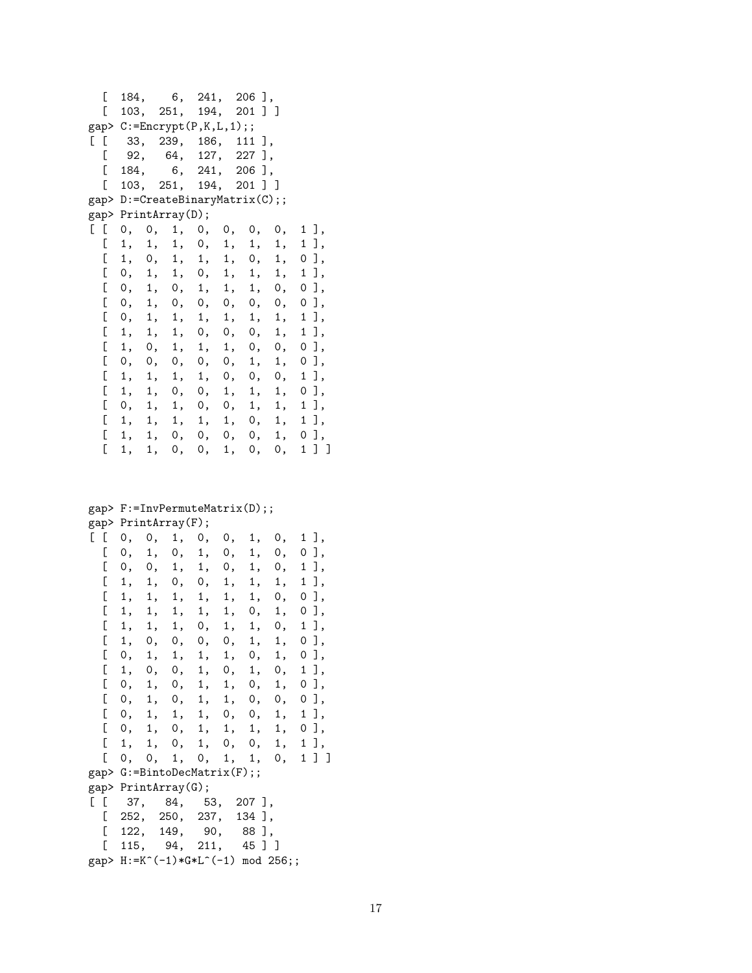[ 184, 6, 241, 206 ], [ 103, 251, 194, 201 ] ]  $gap > C := \text{Encrypt}(P, K, L, 1);$ [ [ 33, 239, 186, 111 ], [ 92, 64, 127, 227 ], [ 184, 6, 241, 206 ], [ 103, 251, 194, 201 ] ] gap> D:=CreateBinaryMatrix(C);; gap> PrintArray(D); [ [ 0, 0, 1, 0, 0, 0, 0, 1 ], [ 1, 1, 1, 0, 1, 1, 1, 1 ],  $[1, 0, 1, 1, 1, 0, 1, 0],$ [ 0, 1, 1, 0, 1, 1, 1, 1 ], [ 0, 1, 0, 1, 1, 1, 0, 0 ], [ 0, 1, 0, 0, 0, 0, 0, 0 ],  $\left[ \begin{array}{ccccccccc} 0, & 1, & 1, & 1, & 1, & 1, & 1, & 1 \end{array} \right],$   $\left[ \begin{array}{ccccccccc} 1, & 1, & 1, & 0, & 0, & 0, & 1, & 1 \end{array} \right],$  $[1, 1, 1, 0, 0, 0, 1,$  $[1, 0, 1, 1, 1, 0, 0, 0],$  $\left[ \begin{array}{ccccccccc} 0, & 0, & 0, & 0, & 0, & 1, & 1, & 0 \end{array} \right],$   $\left[ \begin{array}{ccccccccc} 1, & 1, & 1, & 1, & 0, & 0, & 0, & 1 \end{array} \right],$ [ 1, 1, 1, 1, 0, 0, 0, 1 ], [ 1, 1, 0, 0, 1, 1, 1, 0 ], [ 0, 1, 1, 0, 0, 1, 1, 1 ],  $[1, 1, 1, 1, 1, 0, 1, 1],$  $[1, 1, 0, 0, 0, 0, 1, 0],$ [ 1, 1, 0, 0, 1, 0, 0, 1 ] ]

gap> F:=InvPermuteMatrix(D);; gap> PrintArray(F);

| ັ                                     |      |                      |       |     |       |        |    |      |
|---------------------------------------|------|----------------------|-------|-----|-------|--------|----|------|
| $\begin{bmatrix} 1 & 1 \end{bmatrix}$ | 0,   | 0,                   | 1,    | 0,  | 0,    | 1,     | 0, | 1 ], |
| C                                     |      | 0, 1, 0,             |       | 1,  | 0,    | 1,     | 0, | оJ,  |
| C                                     | 0,   | 0,                   | 1,    | 1,  | 0,    | 1,     | 0, | 1],  |
| C                                     | 1,   | 1,                   | 0,    | 0,  | 1,    | 1,     | 1, | 1 ], |
| C                                     | 1,   | 1,                   | 1,    | 1,  | 1,    | 1,     | 0, | оJ,  |
| C                                     | 1,   | 1,                   | 1,    | 1,  | 1,    | 0,     | 1, | оJ,  |
| C                                     | 1,   | 1,                   | 1,    | 0,  | 1,    | 1,     | 0, | 1 ], |
| C                                     | 1,   |                      | 0, 0, | 0,  | 0,    | 1,     | 1, | оJ,  |
| C                                     | 0,   | 1,                   | 1,    | 1,  | 1,    | 0,     | 1, | 0 ], |
| C                                     | 1,   |                      | 0, 0, |     | 1, 0, | 1,     | 0, | 1 ], |
| C                                     |      | 0, 1, 0,             |       |     | 1, 1, | 0,     | 1, | оJ,  |
| C                                     | 0,   |                      | 1, 0, | 1,  | 1,    | 0,     | 0, | 0 ], |
| C                                     | 0,   | 1,                   | 1,    | 1,  | 0,    | 0,     | 1, | 1 ], |
| C                                     | 0,   |                      | 1, 0, | 1,  | 1,    | 1,     | 1, | 0 ], |
| C                                     | 1,   | 1,                   | 0,    | 1,  | 0,    | 0,     | 1, | 1],  |
| C                                     | 0,   | 0,                   | 1,    |     | 0, 1, | 1,     | 0, | 1]]  |
| gap> G:=BintoDecMatrix(F);;           |      |                      |       |     |       |        |    |      |
| gap> PrintArray(G);                   |      |                      |       |     |       |        |    |      |
| $\begin{bmatrix} 1 & 1 \end{bmatrix}$ |      | 37, 84, 53, 207],    |       |     |       |        |    |      |
| E.                                    |      | 252, 250, 237,       |       |     |       | 134 ], |    |      |
| Ĺ                                     | 122, |                      | 149,  | 90, |       | 88],   |    |      |
| ſ                                     |      | 115, 94, 211, 45 ] ] |       |     |       |        |    |      |
| gap> H:=K^(-1)*G*L^(-1) mod 256;;     |      |                      |       |     |       |        |    |      |
|                                       |      |                      |       |     |       |        |    |      |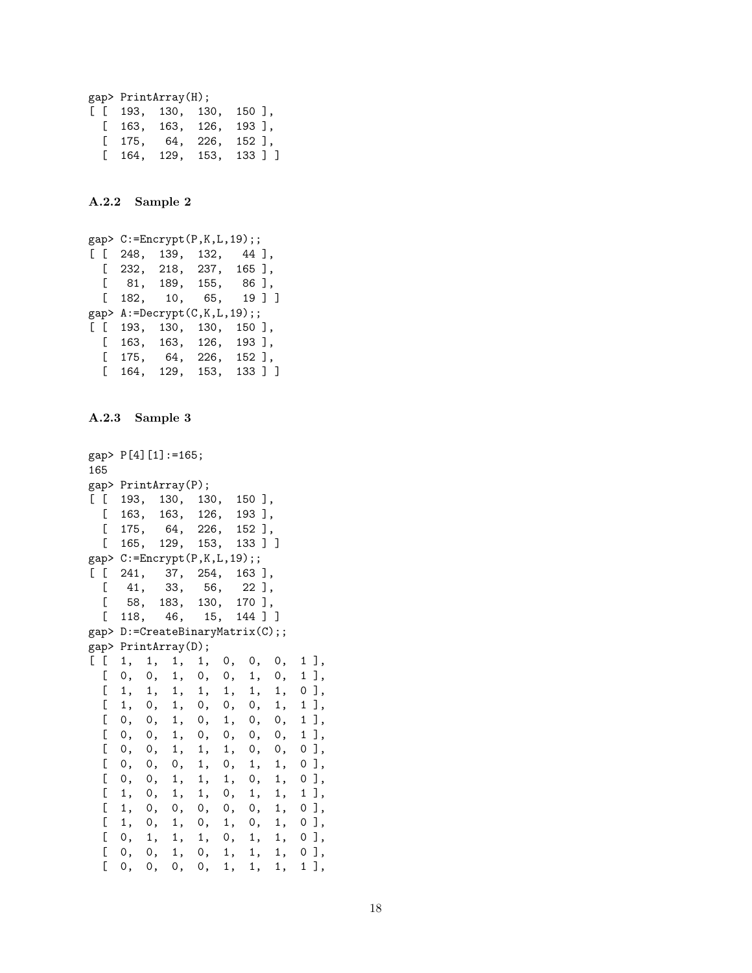```
gap> PrintArray(H);
[ [ 193, 130, 130, 150 ],
 [ 163, 163, 126, 193 ],
 [ 175, 64, 226, 152 ],
 [ 164, 129, 153, 133 ] ]
```
A.2.2 Sample 2

```
gap> C:=Encrypt(P,K,L,19);;
[ [ 248, 139, 132, 44 ],
 [ 232, 218, 237, 165 ],
 [ 81, 189, 155, 86 ],
 [ 182, 10, 65, 19 ] ]
gap> A:=Decrypt(C,K,L,19);;
[ [ 193, 130, 130, 150 ],
 [ 163, 163, 126, 193 ],
 [ 175, 64, 226, 152 ],
 [ 164, 129, 153, 133 ] ]
```
A.2.3 Sample 3

```
gap> P[4][1]:=165;
165
gap> PrintArray(P);
[ [ 193, 130, 130, 150 ],
 [ 163, 163, 126, 193 ],
  [ 175, 64, 226, 152 ],
 [ 165, 129, 153, 133 ] ]
gap> C:=Encrypt(P,K,L,19);;
[ [ 241, 37, 254, 163 ],
  [ 41, 33, 56, 22 ],
  [ 58, 183, 130, 170 ],
  [ 118, 46, 15, 144 ] ]
gap> D:=CreateBinaryMatrix(C);;
gap> PrintArray(D);
[ [ 1, 1, 1, 1, 0, 0, 0, 1 ],
  [ 0, 0, 1, 0, 0, 1, 0, 1 ],
  \left[ \begin{array}{cccccccccccc} 1, & 1, & 1, & 1, & 1, & 1, & 1, & 0 \\ 1, & 0, & 1, & 0, & 0, & 0, & 1, & 1 \end{array} \right],[ 1, 0, 1, 0, 0, 0, 1, 1 ],
  [0, 0, 1, 0, 1, 0, 0, 1],[ 0, 0, 1, 0, 0, 0, 0, 1 ],
  [ 0, 0, 1, 1, 1, 0, 0, 0 ],
  [ 0, 0, 0, 1, 0, 1, 1, 0 ],
  [0, 0, 1, 1, 1, 0, 1, 0],\left[ \begin{array}{cccccccccccc} 1, & 0, & 1, & 1, & 0, & 1, & 1, & 1 \end{array} \right],<br>\left[ \begin{array}{cccccccccccc} 1, & 0, & 0, & 0, & 0, & 0, & 1, & 0 \end{array} \right],[ 1, 0, 0, 0, 0, 0, 1, 0 ],
  [ 1, 0, 1, 0, 1, 0, 1, 0 ],
  [0, 1, 1, 1, 0, 1, 1, 0],[ 0, 0, 1, 0, 1, 1, 1, 0 ],
  [ 0, 0, 0, 0, 1, 1, 1, 1 ],
```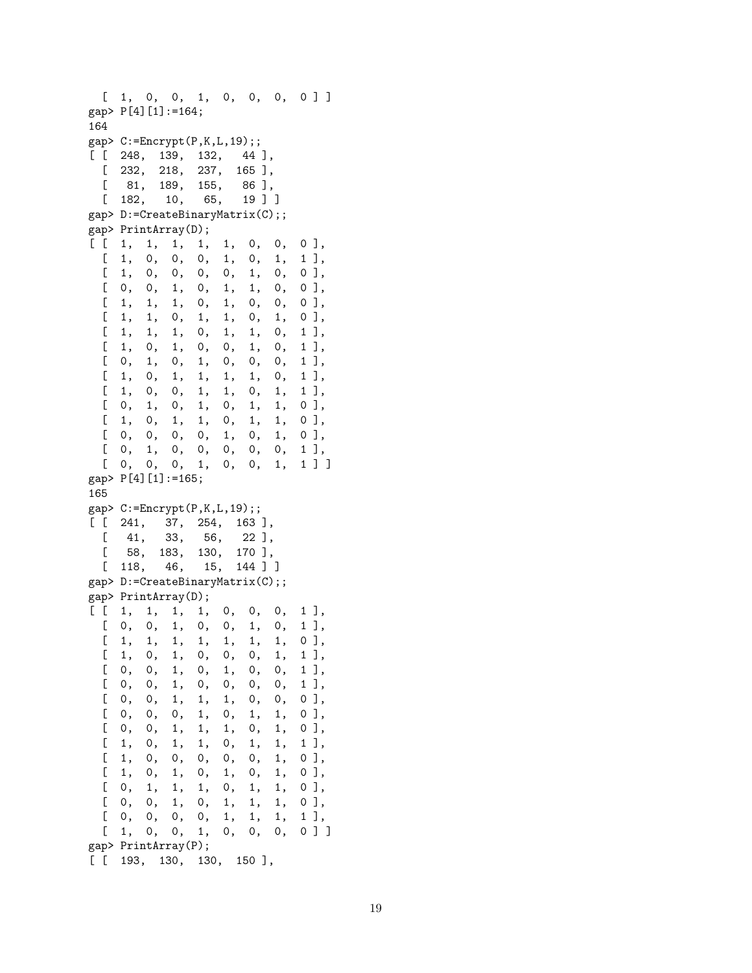```
[1, 0, 0, 1, 0, 0, 0, 0]gap> P[4][1]:=164;
164
gap> C:=Encrypt(P,K,L,19);;
[ [ 248, 139, 132, 44 ],
 [ 232, 218, 237, 165 ],
 [ 81, 189, 155, 86 ],
 [ 182, 10, 65, 19 ] ]
gap> D:=CreateBinaryMatrix(C);;
gap> PrintArray(D);
[ [ 1, 1, 1, 1, 1, 0, 0, 0],\left[ \begin{array}{cccccccc} 1, & 0, & 0, & 0, & 1, & 0, & 1, & 1 \end{array} \right],<br>\left[ \begin{array}{cccccccc} 1, & 0, & 0, & 0, & 0, & 1, & 0, & 0 \end{array} \right],[ 1, 0, 0, 0, 0, 1, 0, 0 ],
 [ 0, 0, 1, 0, 1, 1, 0, 0 ],
 [ 1, 1, 1, 0, 1, 0, 0, 0 ],
 [1, 1, 0, 1, 1, 0, 1, 0],[1, 1, 1, 0, 1, 1, 0, 1],[1, 0, 1, 0, 0, 1, 0, 1][ 0, 1, 0, 1, 0, 0, 0, 1 ],
 [1, 0, 1, 1, 1, 1, 0, 1],[ 1, 0, 0, 1, 1, 0, 1, 1 ],
 [0, 1, 0, 1, 0, 1, 1, 0],[ 1, 0, 1, 1, 0, 1, 1, 0 ],
 [0, 0, 0, 0, 1, 0, 1, 0][ 0, 1, 0, 0, 0, 0, 0, 1 ],
 [0, 0, 0, 1, 0, 0, 1, 1]gap> P[4][1]:=165;
165
gap > C := Encryption(P, K, L, 19);[ [ 241, 37, 254, 163 ],
 [ 41, 33, 56, 22 ],
 [ 58, 183, 130, 170 ],
 [ 118, 46, 15, 144 ] ]
gap> D:=CreateBinaryMatrix(C);;
gap> PrintArray(D);
[ [ 1, 1, 1, 1, 0, 0, 0, 1],[0, 0, 1, 0, 0, 1, 0, 1],[ 1, 1, 1, 1, 1, 1, 1, 0 ],
 [ 1, 0, 1, 0, 0, 0, 1, 1 ],
 [0, 0, 1, 0, 1, 0, 0, 1],[ 0, 0, 1, 0, 0, 0, 0, 1 ],
 [ 0, 0, 1, 1, 1, 0, 0, 0 ],
 [ 0, 0, 0, 1, 0, 1, 1, 0 ],
 [ 0, 0, 1, 1, 1, 0, 1, 0 ],
 [ 1, 0, 1, 1, 0, 1, 1, 1],[1, 0, 0, 0, 0, 0, 1, 0],[1, 0, 1, 0, 1, 0, 1, 0][ 0, 1, 1, 1, 0, 1, 1, 0 ],
 [0, 0, 1, 0, 1, 1, 1, 0],[0, 0, 0, 0, 1, 1, 1, 1],[1, 0, 0, 1, 0, 0, 0, 0]gap> PrintArray(P);
[ [ 193, 130, 130, 150 ],
```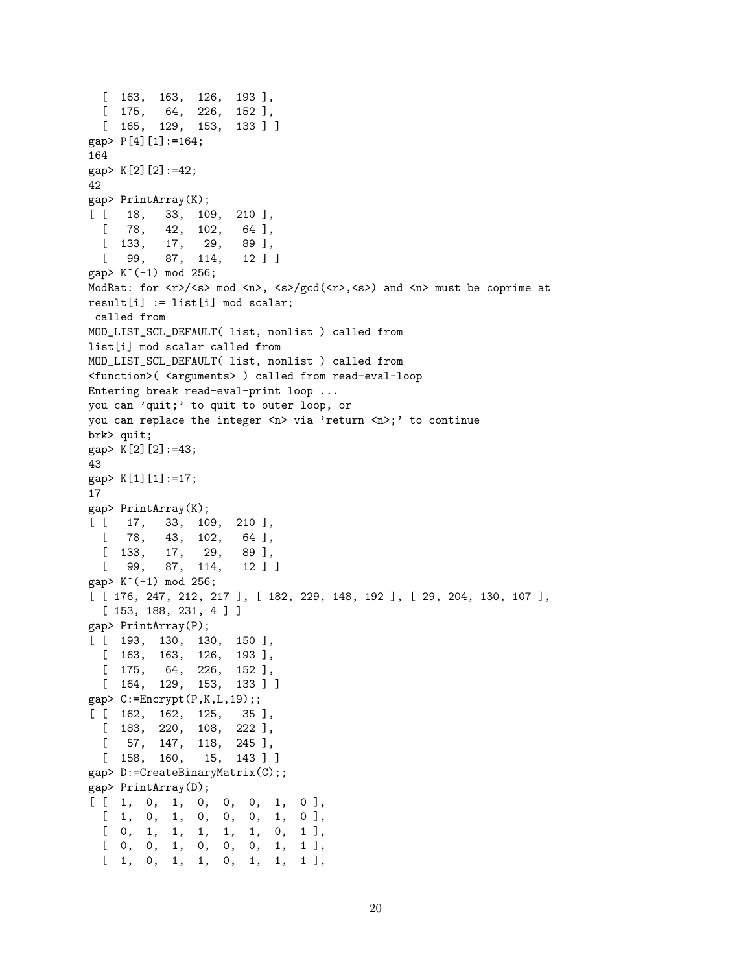```
[ 163, 163, 126, 193 ],
  [ 175, 64, 226, 152 ],
  [ 165, 129, 153, 133 ] ]
gap> P[4][1]:=164;
164
gap> K[2][2]:=42;
42
gap> PrintArray(K);
[ [ 18, 33, 109, 210 ],
  [ 78, 42, 102, 64 ],
  [ 133, 17, 29, 89 ],
  [ 99, 87, 114, 12 ] ]
gap> K^(-1) mod 256;
ModRat: for \langle x \rangle / \langle s \rangle mod \langle n \rangle, \langle s \rangle / \text{gcd}(\langle r \rangle, \langle s \rangle) and \langle n \rangle must be coprime at
result[i] := list[i] mod scalar;
called from
MOD_LIST_SCL_DEFAULT( list, nonlist ) called from
list[i] mod scalar called from
MOD_LIST_SCL_DEFAULT( list, nonlist ) called from
<function>(<arguments>) called from read-eval-loop
Entering break read-eval-print loop ...
you can 'quit;' to quit to outer loop, or
you can replace the integer <n> via 'return <n>;' to continue
brk> quit;
gap> K[2][2]:=43;
43
gap> K[1][1]:=17;
17
gap> PrintArray(K);
[ [ 17, 33, 109, 210 ],
  \begin{bmatrix} 78, & 43, & 102, & 64 \end{bmatrix},<br>
\begin{bmatrix} 133, & 17, & 29, & 89 \end{bmatrix}[ 133, 17, 29, 89 ],
  [ 99, 87, 114, 12 ] ]
gap> K^(-1) mod 256;
[ [ 176, 247, 212, 217 ], [ 182, 229, 148, 192 ], [ 29, 204, 130, 107 ],
  [ 153, 188, 231, 4 ] ]
gap> PrintArray(P);
[ [ 193, 130, 130, 150 ],
  [ 163, 163, 126, 193 ],
  [ 175, 64, 226, 152 ],
  [ 164, 129, 153, 133 ] ]
gap > C := Encryption(P,K,L,19);;
[ [ 162, 162, 125, 35 ],
 [ 183, 220, 108, 222 ],
  \begin{bmatrix} 57, & 147, & 118, & 245 \end{bmatrix},<br>
\begin{bmatrix} 158, & 160, & 15, & 143 \end{bmatrix}[158, 160,gap> D:=CreateBinaryMatrix(C);;
gap> PrintArray(D);
[ [ 1, 0, 1, 0, 0, 0, 1, 0],[1, 0, 1, 0, 0, 0, 1, 0],[ 0, 1, 1, 1, 1, 1, 0, 1 ],
  [0, 0, 1, 0, 0, 0, 1, 1],[1, 0, 1, 1, 0, 1, 1, 1]
```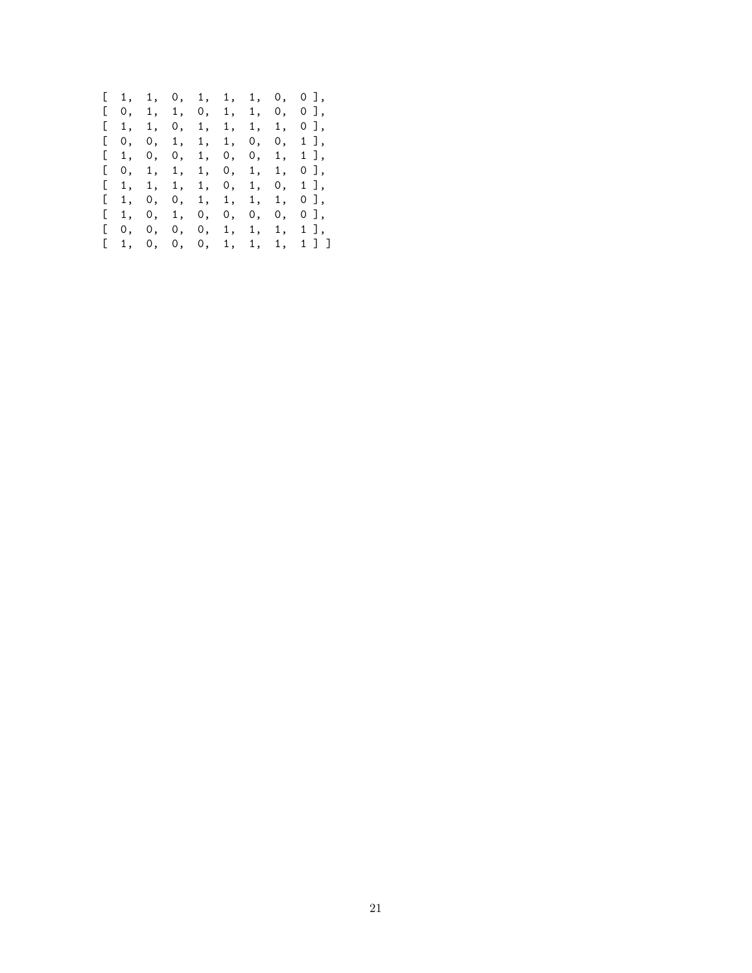|  |  |  |  | [1, 1, 0, 1, 1, 1, 0, 0], |
|--|--|--|--|---------------------------|
|  |  |  |  | [0, 1, 1, 0, 1, 1, 0, 0], |
|  |  |  |  | [1, 1, 0, 1, 1, 1, 1, 0], |
|  |  |  |  | [0, 0, 1, 1, 1, 0, 0, 1], |
|  |  |  |  | [1, 0, 0, 1, 0, 0, 1, 1], |
|  |  |  |  | [0, 1, 1, 1, 0, 1, 1, 0], |
|  |  |  |  | [1, 1, 1, 1, 0, 1, 0, 1], |
|  |  |  |  | [1, 0, 0, 1, 1, 1, 1, 0], |
|  |  |  |  | [1, 0, 1, 0, 0, 0, 0, 0]  |
|  |  |  |  | 0, 0, 0, 0, 1, 1, 1, 1,   |
|  |  |  |  | [1, 0, 0, 0, 1, 1, 1, 1]  |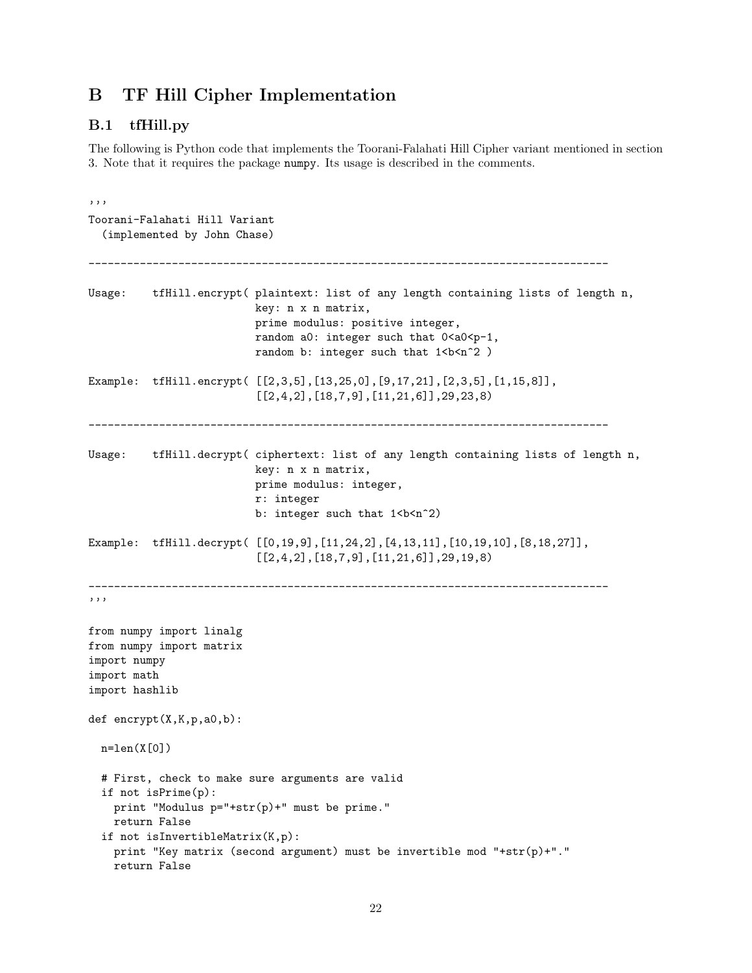## B TF Hill Cipher Implementation

#### B.1 tfHill.py

The following is Python code that implements the Toorani-Falahati Hill Cipher variant mentioned in section 3. Note that it requires the package numpy. Its usage is described in the comments.

```
'''
Toorani-Falahati Hill Variant
  (implemented by John Chase)
---------------------------------------------------------------------------------
Usage: tfHill.encrypt( plaintext: list of any length containing lists of length n,
                          key: n x n matrix,
                          prime modulus: positive integer,
                          random a0: integer such that 0 < a < 0 < p-1,
                          random b: integer such that 1 <br/>b <n>2 )
Example: tfHill.encrypt( [[2,3,5],[13,25,0],[9,17,21],[2,3,5],[1,15,8]],
                           [[2,4,2],[18,7,9],[11,21,6]],29,23,8)
        ---------------------------------------------------------------------------------
Usage: tfHill.decrypt( ciphertext: list of any length containing lists of length n,
                          key: n x n matrix,
                          prime modulus: integer,
                          r: integer
                          b: integer such that 1 <br/>b <n<sup>^2</sup>)
Example: tfHill.decrypt( [[0,19,9],[11,24,2],[4,13,11],[10,19,10],[8,18,27]],
                           [[2,4,2],[18,7,9],[11,21,6]],29,19,8)---------------------------------------------------------------------------------
'''
from numpy import linalg
from numpy import matrix
import numpy
import math
import hashlib
def encrypt(X,K,p,a0,b):
 n=len(X[0])# First, check to make sure arguments are valid
  if not isPrime(p):
    print "Modulus p="+str(p)+" must be prime."
   return False
  if not isInvertibleMatrix(K,p):
    print "Key matrix (second argument) must be invertible mod "+str(p)+"."
    return False
```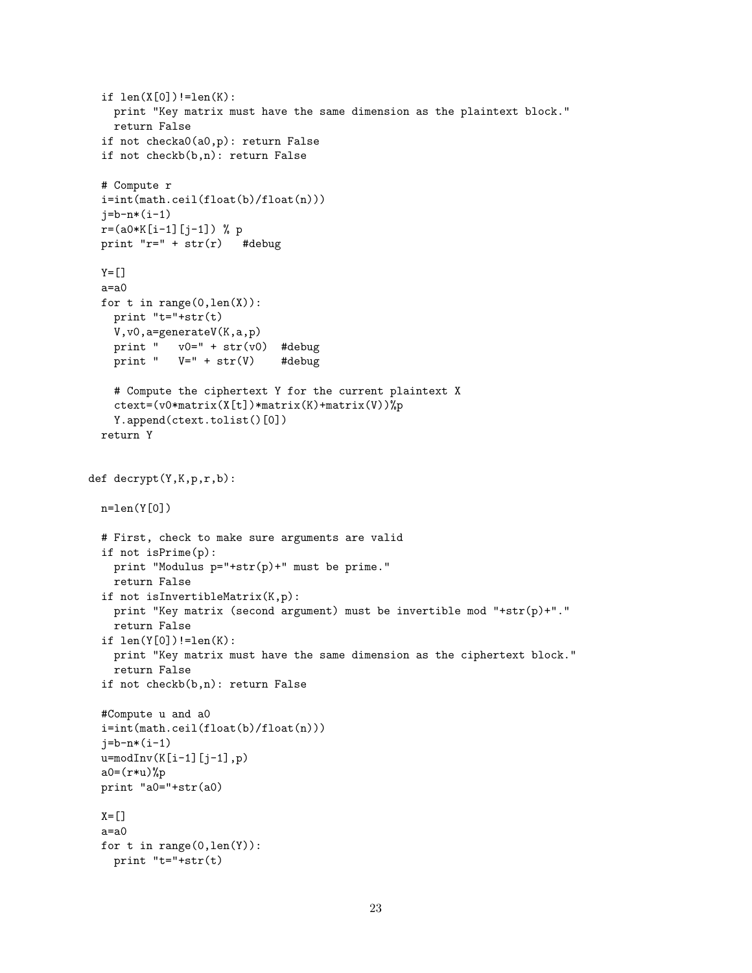```
if len(X[0])!=len(K):
   print "Key matrix must have the same dimension as the plaintext block."
   return False
  if not checka0(a0,p): return False
  if not checkb(b,n): return False
  # Compute r
  i=int(math.ceil(float(b)/float(n)))
  j=b-n*(i-1)r=(a0*K[i-1][j-1]) % p
 print "r=" + str(r) #debug
 Y=[]a=a0
 for t in range(0,len(X)):
   print "t="+str(t)
   V,v0,a=generateV(K,a,p)
   print " v0=" + str(v0) #debug
   print " V=" + str(V) #debug
   # Compute the ciphertext Y for the current plaintext X
   ctext=(v0*matrix(X[t])*matrix(K)+matrix(V))%p
   Y.append(ctext.tolist()[0])
 return Y
def decrypt(Y,K,p,r,b):
 n=len(Y[0])
 # First, check to make sure arguments are valid
  if not isPrime(p):
   print "Modulus p="+str(p)+" must be prime."
   return False
  if not isInvertibleMatrix(K,p):
   print "Key matrix (second argument) must be invertible mod "+str(p)+"."
   return False
  if len(Y[0])!=len(K):
   print "Key matrix must have the same dimension as the ciphertext block."
   return False
  if not checkb(b,n): return False
  #Compute u and a0
  i=int(math.ceil(float(b)/float(n)))
  j=b-n*(i-1)u=modInv(K[i-1][j-1],p)
  a0=(r*u)%p
 print "a0="+str(a0)
 X=[]a=a0
  for t in range(0,len(Y)):
   print "t="+str(t)
```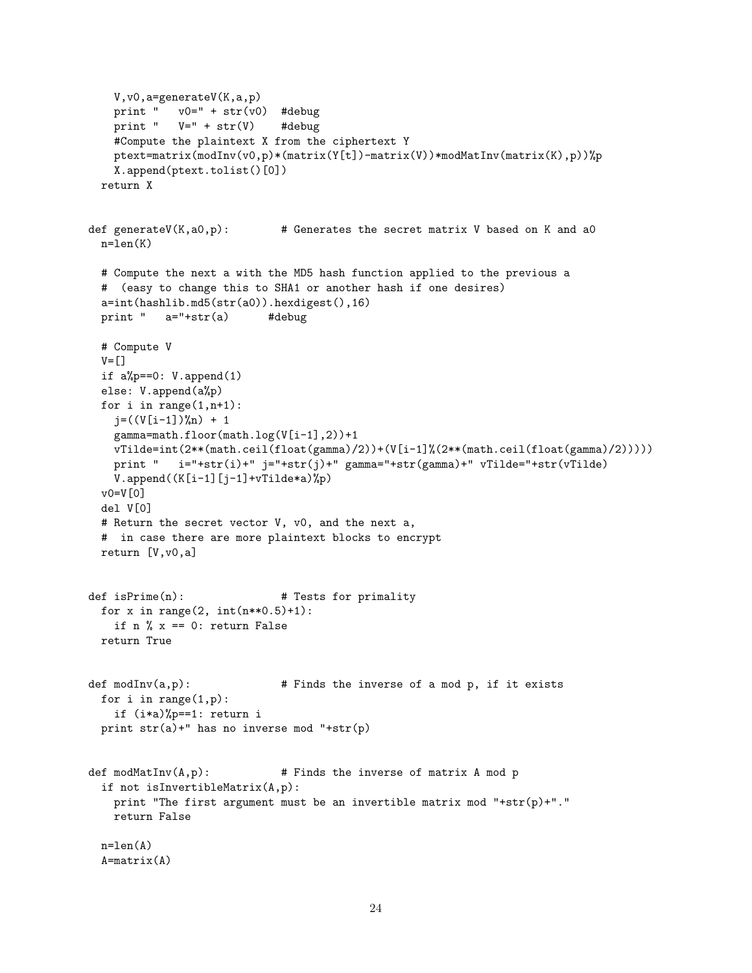```
V,v0,a=generateV(K,a,p)
   print " v0=" + str(v0) #debug
   print " V=" + str(V) #debug
   #Compute the plaintext X from the ciphertext Y
   ptext=matrix(modInv(v0,p)*(matrix(Y[t])-matrix(V))*modMatInv(matrix(K),p))%p
   X.append(ptext.tolist()[0])
 return X
def generateV(K, a0, p): # Generates the secret matrix V based on K and a0
 n=len(K)
 # Compute the next a with the MD5 hash function applied to the previous a
 # (easy to change this to SHA1 or another hash if one desires)
 a=int(hashlib.md5(str(a0)).hexdigest(),16)
 print " a="+str(a) #debug
 # Compute V
 V = \lceil 1 \rceilif a%p==0: V.append(1)
 else: V.append(a%p)
 for i in range(1,n+1):
   j = ((V[i-1])\%n) + 1gamma=math.floor(math.log(V[i-1],2))+1
   vTilde=int(2**(math.ceil(float(gamma)/2))+(V[i-1]%(2**(math.ceil(float(gamma)/2)))))
   print " i="+str(i)+" j="+str(j)+" gamma="+str(gamma)+" vTilde="+str(vTilde)
   V.append((K[i-1][j-1]+vTitle*a)\%p)v0=V[0]
 del V[0]
 # Return the secret vector V, v0, and the next a,
 # in case there are more plaintext blocks to encrypt
 return [V,v0,a]
def isPrime(n): # Tests for primality
 for x in range(2, int(n**0.5)+1):
   if n \% x == 0: return False
 return True
def modInv(a,p): # Finds the inverse of a mod p, if it exists
 for i in range(1,p):
   if (i*a)%p==1: return i
 print str(a)+" has no inverse mod "+str(p)
def modMatInv(A,p): # Finds the inverse of matrix A mod p
 if not isInvertibleMatrix(A,p):
   print "The first argument must be an invertible matrix mod "+str(p)+"."
   return False
 n=len(A)A = matrix(A)
```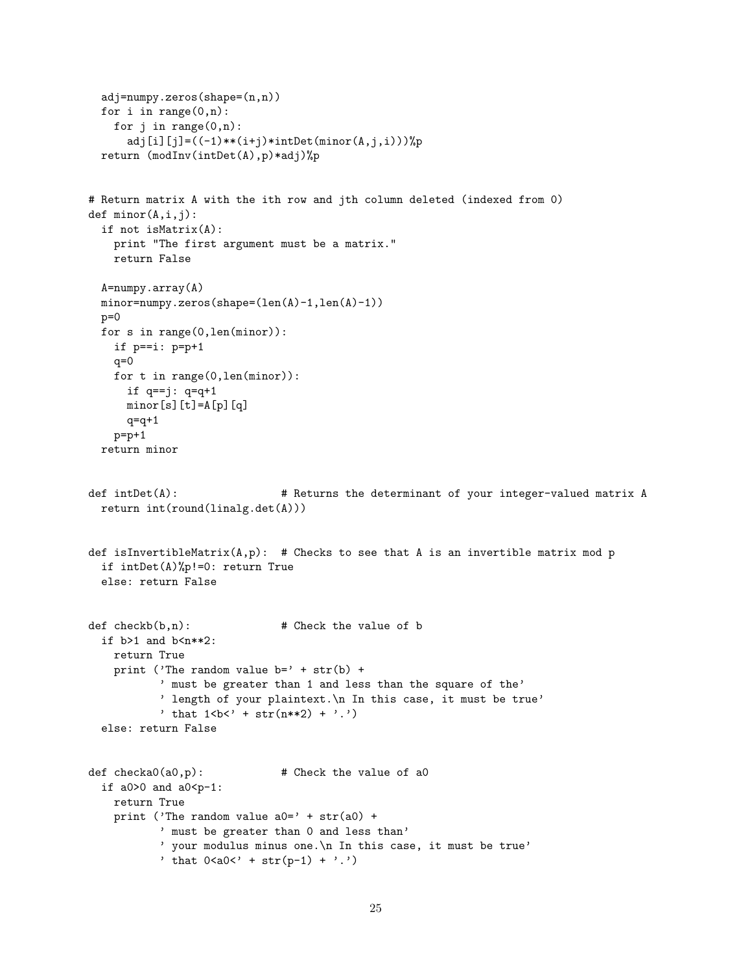```
adj=numpy.zeros(shape=(n,n))
  for i in range(0,n):
   for j in range(0,n):
      adj[i][j]=((-1)**(i+j)*intDet(minor(A,j,i)))%p
 return (modInv(intDet(A),p)*adj)%p
# Return matrix A with the ith row and jth column deleted (indexed from 0)
def minor(A,i,j):
  if not isMatrix(A):
   print "The first argument must be a matrix."
   return False
  A=numpy.array(A)
 minor=numpy.zeros(shape=(len(A)-1,len(A)-1))
 p=0for s in range(0,len(minor)):
   if p==i: p=p+1
   q=0for t in range(0,len(minor)):
     if q==j: q=q+1minor[s][t]=A[p][q]q = q + 1p=p+1return minor
def intDet(A): # Returns the determinant of your integer-valued matrix A
 return int(round(linalg.det(A)))
def isInvertibleMatrix(A, p): # Checks to see that A is an invertible matrix mod p
 if intDet(A)%p!=0: return True
 else: return False
def \, checkb(b, n): # Check the value of b
  if b>1 and b<sub>n**2</sub>:
   return True
   print ('The random value b=' + str(b) +
           ' must be greater than 1 and less than the square of the'
           ' length of your plaintext.\n In this case, it must be true'
           ' that 1 <br/>b<' + str(n**2) + '.')
  else: return False
def checka0(a0,p): # Check the value of a0
 if a0>0 and a0< p-1:
   return True
   print ('The random value a0=' + str(a0) +' must be greater than 0 and less than'
           ' your modulus minus one.\n In this case, it must be true'
           ' that 0 < a <i>0</i>' + str(p-1) + '.'
```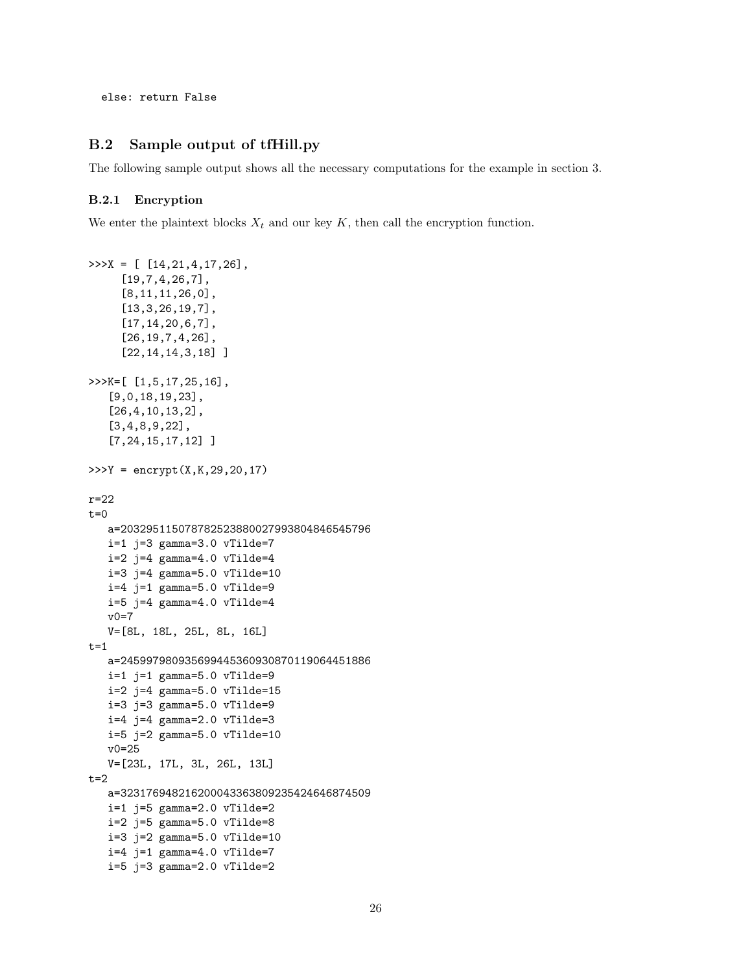else: return False

### B.2 Sample output of tfHill.py

The following sample output shows all the necessary computations for the example in section 3.

#### B.2.1 Encryption

We enter the plaintext blocks  $X_t$  and our key K, then call the encryption function.

```
\Rightarrow >>X = [ [14,21,4,17,26],
     [19,7,4,26,7],
     [8,11,11,26,0],
     [13,3,26,19,7],
     [17,14,20,6,7],
     [26,19,7,4,26],
     [22, 14, 14, 3, 18]]
>>>K=[ [1,5,17,25,16],
   [9,0,18,19,23],
   [26,4,10,13,2],
   [3,4,8,9,22],
   [7,24,15,17,12] ]
>>Y = encrypt(X,K,29,20,17)r=22
t=0a=203295115078782523880027993804846545796
   i=1 j=3 gamma=3.0 vTilde=7
   i=2 j=4 gamma=4.0 vTilde=4
   i=3 j=4 gamma=5.0 vTilde=10
   i=4 j=1 gamma=5.0 vTilde=9
   i=5 j=4 gamma=4.0 vTilde=4
   v0=7
   V=[8L, 18L, 25L, 8L, 16L]
t=1a=245997980935699445360930870119064451886
   i=1 j=1 gamma=5.0 vTilde=9
   i=2 j=4 gamma=5.0 vTilde=15
   i=3 j=3 gamma=5.0 vTilde=9
   i=4 j=4 gamma=2.0 vTilde=3
   i=5 j=2 gamma=5.0 vTilde=10
   v0=25
   V=[23L, 17L, 3L, 26L, 13L]
t=2a=323176948216200043363809235424646874509
   i=1 j=5 gamma=2.0 vTilde=2
   i=2 j=5 gamma=5.0 vTilde=8
   i=3 j=2 gamma=5.0 vTilde=10
   i=4 j=1 gamma=4.0 vTilde=7
   i=5 j=3 gamma=2.0 vTilde=2
```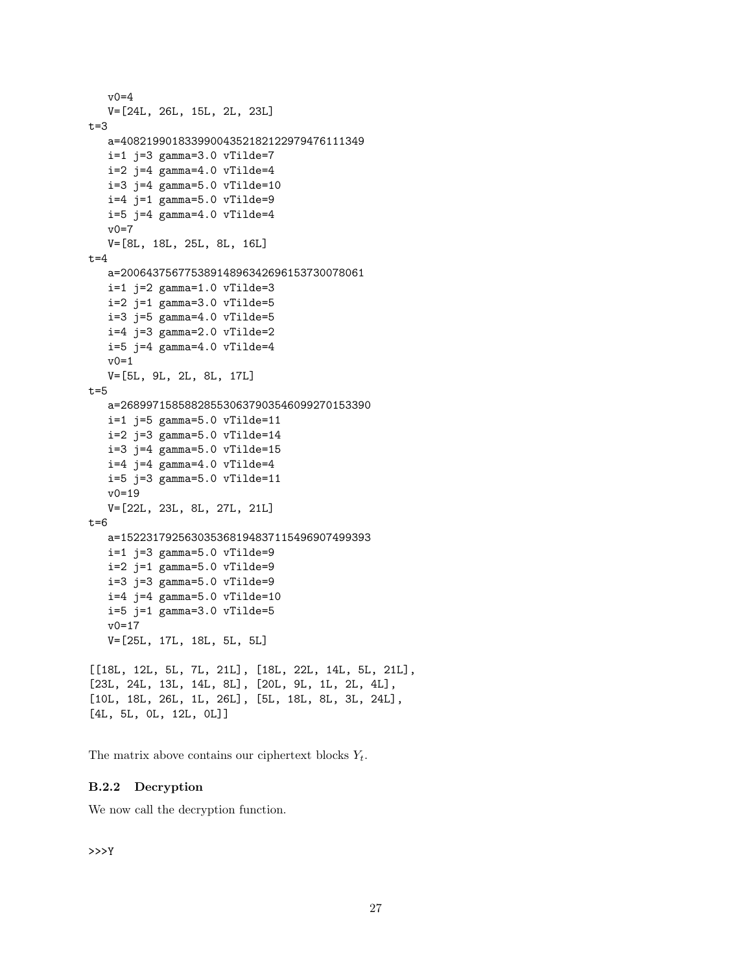```
v0=4
  V=[24L, 26L, 15L, 2L, 23L]
t=3a=40821990183399004352182122979476111349
  i=1 j=3 gamma=3.0 vTilde=7
  i=2 j=4 gamma=4.0 vTilde=4
  i=3 j=4 gamma=5.0 vTilde=10
  i=4 j=1 gamma=5.0 vTilde=9
   i=5 j=4 gamma=4.0 vTilde=4
  v0=7
  V=[8L, 18L, 25L, 8L, 16L]
t=4a=20064375677538914896342696153730078061
  i=1 j=2 gamma=1.0 vTilde=3
  i=2 j=1 gamma=3.0 vTilde=5
  i=3 j=5 gamma=4.0 vTilde=5
  i=4 j=3 gamma=2.0 vTilde=2
  i=5 j=4 gamma=4.0 vTilde=4
  v0=1V=[5L, 9L, 2L, 8L, 17L]
t=5a=268997158588285530637903546099270153390
  i=1 j=5 gamma=5.0 vTilde=11
  i=2 j=3 gamma=5.0 vTilde=14
  i=3 j=4 gamma=5.0 vTilde=15
  i=4 j=4 gamma=4.0 vTilde=4
  i=5 j=3 gamma=5.0 vTilde=11
  v0=19
  V=[22L, 23L, 8L, 27L, 21L]
t=6a=152231792563035368194837115496907499393
  i=1 j=3 gamma=5.0 vTilde=9i=2 j=1 gamma=5.0 vTilde=9
  i=3 j=3 gamma=5.0 vTilde=9
  i=4 j=4 gamma=5.0 vTilde=10
  i=5 j=1 gamma=3.0 vTilde=5
  v0=17
  V=[25L, 17L, 18L, 5L, 5L]
[[18L, 12L, 5L, 7L, 21L], [18L, 22L, 14L, 5L, 21L],
[23L, 24L, 13L, 14L, 8L], [20L, 9L, 1L, 2L, 4L],
[10L, 18L, 26L, 1L, 26L], [5L, 18L, 8L, 3L, 24L],
[4L, 5L, 0L, 12L, 0L]]
```
The matrix above contains our ciphertext blocks  $Y_t$ .

## B.2.2 Decryption

We now call the decryption function.

>>>Y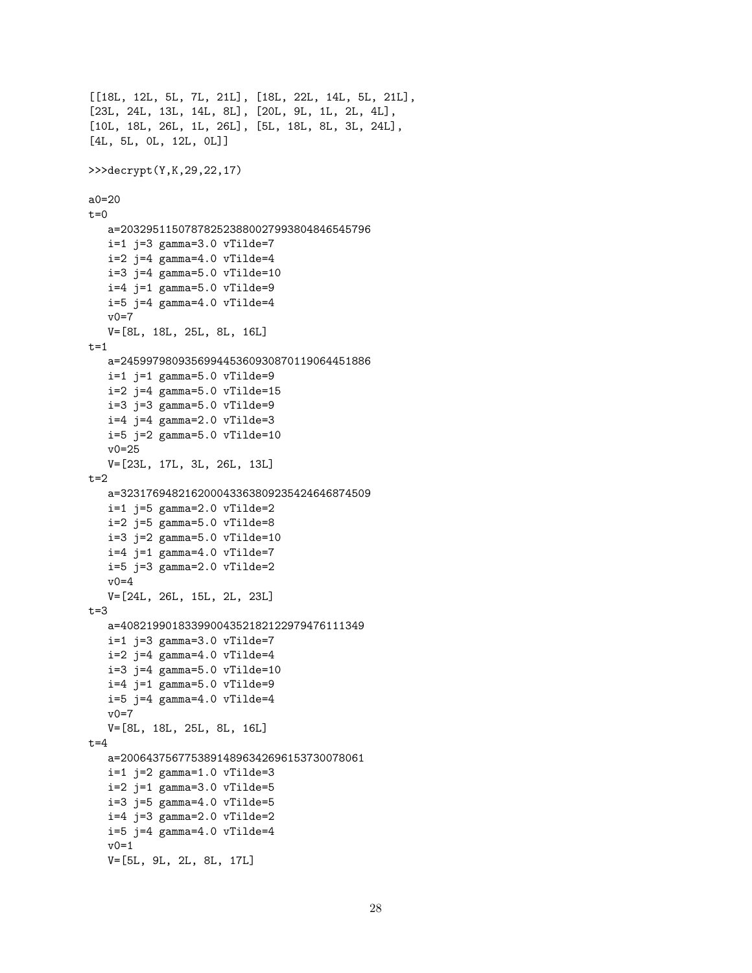```
[[18L, 12L, 5L, 7L, 21L], [18L, 22L, 14L, 5L, 21L],
[23L, 24L, 13L, 14L, 8L], [20L, 9L, 1L, 2L, 4L],
[10L, 18L, 26L, 1L, 26L], [5L, 18L, 8L, 3L, 24L],
[4L, 5L, 0L, 12L, 0L]]
>>>decrypt(Y,K,29,22,17)
a0=20
t=0a=203295115078782523880027993804846545796
  i=1 j=3 gamma=3.0 vTilde=7
  i=2 j=4 gamma=4.0 vTilde=4
  i=3 j=4 gamma=5.0 vTilde=10
  i=4 j=1 gamma=5.0 vTilde=9i=5 j=4 gamma=4.0 vTilde=4
  v0=7V=[8L, 18L, 25L, 8L, 16L]
t=1a=245997980935699445360930870119064451886
  i=1 j=1 gamma=5.0 vTilde=9i=2 j=4 gamma=5.0 vTilde=15
  i=3 j=3 gamma=5.0 vTilde=9i=4 j=4 gamma=2.0 vTilde=3
  i=5 j=2 gamma=5.0 vTilde=10
  v0=25
  V=[23L, 17L, 3L, 26L, 13L]
t=2a=323176948216200043363809235424646874509
  i=1 j=5 gamma=2.0 vTilde=2
  i=2 j=5 gamma=5.0 vTilde=8
  i=3 j=2 gamma=5.0 vTilde=10
  i=4 j=1 gamma=4.0 vTilde=7
  i=5 j=3 gamma=2.0 vTilde=2
  v0=4V=[24L, 26L, 15L, 2L, 23L]
t=3a=40821990183399004352182122979476111349
  i=1 j=3 gamma=3.0 vTilde=7
  i=2 j=4 gamma=4.0 vTilde=4
  i=3 j=4 gamma=5.0 vTilde=10
  i=4 j=1 gamma=5.0 vTilde=9i=5 j=4 gamma=4.0 vTilde=4
  v0=7V=[8L, 18L, 25L, 8L, 16L]
t=4a=20064375677538914896342696153730078061
  i=1 j=2 gamma=1.0 vTilde=3
  i=2 j=1 gamma=3.0 vTilde=5
  i=3 j=5 gamma=4.0 vTilde=5
  i=4 j=3 gamma=2.0 vTilde=2
  i=5 j=4 gamma=4.0 vTilde=4
  v0=1V=[5L, 9L, 2L, 8L, 17L]
```